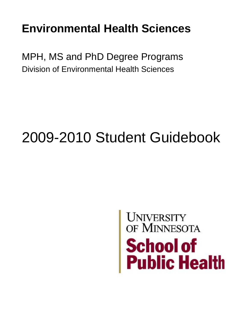## **Environmental Health Sciences**

MPH, MS and PhD Degree Programs Division of Environmental Health Sciences

# 2009-2010 Student Guidebook

# UNIVERSITY OF MINNESOTA **School of<br>Public Health**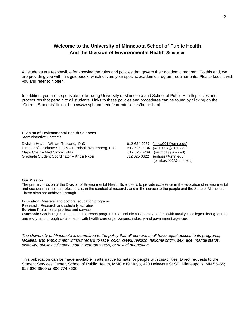### **Welcome to the University of Minnesota School of Public Health And the Division of Environmental Health Sciences**

All students are responsible for knowing the rules and policies that govern their academic program. To this end, we are providing you with this guidebook, which covers your specific academic program requirements. Please keep it with you and refer to it often.

In addition, you are responsible for knowing University of Minnesota and School of Public Health policies and procedures that pertain to all students. Links to these policies and procedures can be found by clicking on the "Current Students" link at<http://www.sph.umn.edu/current/policies/home.html>

### **Division of Environmental Health Sciences**  Administrative Contacts:

Division Head – William Toscano, PhD 612-624.2967 [\(tosca001@umn.edu\)](mailto:tosca001@umn.edu) Director of Graduate Studies – Elizabeth Wattenberg, PhD 612 626.0184 [\(watte004@umn.edu](mailto:watte004@umn.edu))<br>Major Chair – Matt Simcik, PhD 612.626.6269 (msimcik@umn.ed) Graduate Student Coordinator – Khosi Nkosi 612 625.0622 [\(enhsss@umn.edu](mailto:enhsss@umn.edu)

612.626.6269 [\(msimcik@umn.ed](mailto:msimcik@umn.ed)) (or [nkosi001@umn.edu\)](mailto:nkosi001@umn.edu)

### **Our Mission**

The primary mission of the Division of Environmental Health Sciences is to provide excellence in the education of environmental and occupational health professionals, in the conduct of research, and in the service to the people and the State of Minnesota. These aims are achieved through

**Education:** Masters' and doctoral education programs

**Research:** Research and scholarly activities

**Service:** Professional practice and service

**Outreach:** Continuing education, and outreach programs that include collaborative efforts with faculty in colleges throughout the university, and through collaboration with health care organizations, industry and government agencies.

The University of Minnesota is committed to the policy that all persons shall have equal access to its programs, *facilities, and employment without regard to race, color, creed, religion, national origin, sex, age, marital status, disability, public assistance status, veteran status, or sexual orientation.* 

This publication can be made available in alternative formats for people with disabilities. Direct requests to the Student Services Center, School of Public Health, MMC 819 Mayo, 420 Delaware St SE, Minneapolis, MN 55455; 612.626-3500 or 800.774.8636.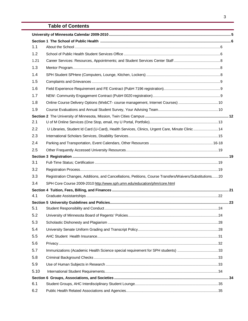### **Table of Contents**

| 1.1  |                                                                                                         |  |  |
|------|---------------------------------------------------------------------------------------------------------|--|--|
| 1.2  |                                                                                                         |  |  |
| 1.21 |                                                                                                         |  |  |
| 1.3  |                                                                                                         |  |  |
| 1.4  |                                                                                                         |  |  |
| 1.5  |                                                                                                         |  |  |
| 1.6  |                                                                                                         |  |  |
| 1.7  |                                                                                                         |  |  |
| 1.8  | Online Course Delivery Options (WebCT- course management, Internet Courses)  10                         |  |  |
| 1.9  |                                                                                                         |  |  |
|      |                                                                                                         |  |  |
| 2.1  |                                                                                                         |  |  |
| 2.2  | U Libraries, Student Id Card (U-Card), Health Services, Clinics, Urgent Care, Minute Clinic 14          |  |  |
| 2.3  |                                                                                                         |  |  |
| 2.4  |                                                                                                         |  |  |
| 2.5  |                                                                                                         |  |  |
|      |                                                                                                         |  |  |
| 3.1  |                                                                                                         |  |  |
| 3.2  |                                                                                                         |  |  |
| 3.3  | Registration Changes, Additions, and Cancellations, Petitions, Course Transfers/Waivers/Substitutions20 |  |  |
| 3.4  | SPH Core Course 2009-2010 http://www.sph.umn.edu/education/phm/core.html                                |  |  |
|      |                                                                                                         |  |  |
| 4.1  |                                                                                                         |  |  |
|      |                                                                                                         |  |  |
| 5.1  |                                                                                                         |  |  |
| 5.2  |                                                                                                         |  |  |
| 5.3  |                                                                                                         |  |  |
| 5.4  |                                                                                                         |  |  |
| 5.5  |                                                                                                         |  |  |
| 5.6  |                                                                                                         |  |  |
| 5.7  | Immunizations (Academic Health Science special requirement for SPH students) 33                         |  |  |
| 5.8  |                                                                                                         |  |  |
| 5.9  |                                                                                                         |  |  |
| 5.10 |                                                                                                         |  |  |
|      |                                                                                                         |  |  |
| 6.1  |                                                                                                         |  |  |
| 6.2  |                                                                                                         |  |  |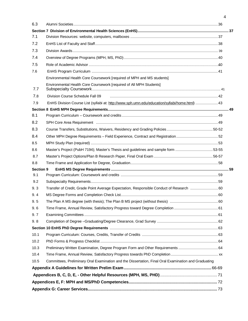| 6.3       |                                                                                                      |  |
|-----------|------------------------------------------------------------------------------------------------------|--|
|           |                                                                                                      |  |
| 7.1       |                                                                                                      |  |
| 7.2       |                                                                                                      |  |
| 7.3       |                                                                                                      |  |
| 7.4       |                                                                                                      |  |
| 7.5       |                                                                                                      |  |
| 7.6       |                                                                                                      |  |
|           | Environmental Health Core Coursework [required of MPH and MS students]                               |  |
| 7.7       | Environmental Health Core Coursework [required of All MPH Students]                                  |  |
| 7.8       | Division Course Schedule Fall 09                                                                     |  |
| 7.9       | EnHS Division Course List (syllabi at: http://www.sph.umn.edu/education/syllabi/home.html)  43       |  |
|           |                                                                                                      |  |
| 8.1       |                                                                                                      |  |
| 8.2       |                                                                                                      |  |
| 8.3       |                                                                                                      |  |
| 8.4       | Other MPH Degree Requirements - Field Experience, Contract and Registration52                        |  |
| 8.5       |                                                                                                      |  |
| 8.6       | Master's Project (PubH 7194); Master's Thesis and guidelines and sample form 53-55                   |  |
| 8.7       |                                                                                                      |  |
| 8.8       |                                                                                                      |  |
| Section 9 |                                                                                                      |  |
| 9.1       |                                                                                                      |  |
| 9.2       |                                                                                                      |  |
| 9.3       | Transfer of Credit, Grade Point Average Expectation, Responsible Conduct of Research  60             |  |
| 9.4       |                                                                                                      |  |
| 9.5       |                                                                                                      |  |
| 9.6       |                                                                                                      |  |
| 9.7       |                                                                                                      |  |
| 9.8       |                                                                                                      |  |
|           |                                                                                                      |  |
| 10.1      |                                                                                                      |  |
| 10.2      |                                                                                                      |  |
| 10.3      | Preliminary Written Examination, Degree Program Form and Other Requirements  64                      |  |
| 10.4      |                                                                                                      |  |
| 10.5      | Committees, Preliminary Oral Examination and the Dissertation, Final Oral Examination and Graduating |  |
|           |                                                                                                      |  |
|           |                                                                                                      |  |
|           |                                                                                                      |  |
|           |                                                                                                      |  |

4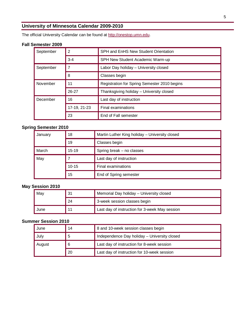### **University of Minnesota Calendar 2009-2010**

The official University Calendar can be found at<http://onestop.umn.edu>.

### **Fall Semester 2009**

| September | 2            | SPH and EnHS New Student Orientation         |  |  |
|-----------|--------------|----------------------------------------------|--|--|
|           | $3 - 4$      | SPH New Student Academic Warm-up             |  |  |
| September |              | Labor Day holiday - University closed        |  |  |
|           | 8            | Classes begin                                |  |  |
| November  | 11           | Registration for Spring Semester 2010 begins |  |  |
|           | 26-27        | Thanksgiving holiday - University closed     |  |  |
| December  | 16           | Last day of instruction                      |  |  |
|           | 17-19, 21-23 | Final examinations                           |  |  |
|           | 23           | End of Fall semester                         |  |  |

### **Spring Semester 2010**

| January | 18        | Martin Luther King holiday - University closed |  |
|---------|-----------|------------------------------------------------|--|
|         | 19        | Classes begin                                  |  |
| March   | $15 - 19$ | Spring break - no classes                      |  |
| May     |           | Last day of instruction                        |  |
|         | $10 - 15$ | Final examinations                             |  |
|         | 15        | End of Spring semester                         |  |

### **May Session 2010**

| May                                | Memorial Day holiday - University closed<br>31 |                                                |
|------------------------------------|------------------------------------------------|------------------------------------------------|
| 3-week session classes begin<br>24 |                                                |                                                |
| June                               |                                                | Last day of instruction for 3-week May session |

### **Summer Session 2010**

| June                                                       | 14 | 8 and 10-week session classes begin         |  |
|------------------------------------------------------------|----|---------------------------------------------|--|
| Independence Day holiday - University closed<br>July<br>.5 |    |                                             |  |
| Last day of instruction for 8-week session<br>August<br>6  |    |                                             |  |
|                                                            | 20 | Last day of instruction for 10-week session |  |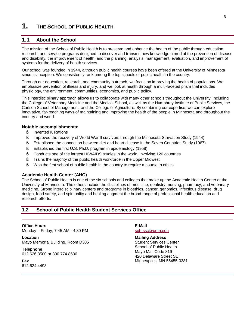### **1. THE SCHOOL OF PUBLIC HEALTH**

### **1.1 About the School**

The mission of the School of Public Health is to preserve and enhance the health of the public through education, research, and service programs designed to discover and transmit new knowledge aimed at the prevention of disease and disability, the improvement of health, and the planning, analysis, management, evaluation, and improvement of systems for the delivery of health services.

Our school was founded in 1944, although public health courses have been offered at the University of Minnesota since its inception. We consistently rank among the top schools of public health in the country.

Through our education, research, and community outreach, we focus on improving the health of populations. We emphasize prevention of illness and injury, and we look at health through a multi-faceted prism that includes physiology, the environment, communities, economics, and public policy.

This interdisciplinary approach allows us to collaborate with many other schools throughout the University, including the College of Veterinary Medicine and the Medical School, as well as the Humphrey Institute of Public Services, the Carlson School of Management, and the College of Agriculture. By combining our expertise, we can explore innovative, far-reaching ways of maintaining and improving the health of the people in Minnesota and throughout the country and world.

### **Notable accomplishments:**

- § Invented K Rations
- § Improved the recovery of World War II survivors through the Minnesota Starvation Study (1944)
- § Established the connection between diet and heart disease in the Seven Countries Study (1967)
- § Established the first U.S. Ph.D. program in epidemiology (1958)
- § Conducts one of the largest HIV/AIDS studies in the world, involving 120 countries
- § Trains the majority of the public health workforce in the Upper Midwest
- § Was the first school of public health in the country to require a course in ethics

### **Academic Health Center (AHC)**

The School of Public Health is one of the six schools and colleges that make up the Academic Health Center at the University of Minnesota. The others include the disciplines of medicine, dentistry, nursing, pharmacy, and veterinary medicine. Strong interdisciplinary centers and programs in bioethics, cancer, genomics, infectious disease, drug design, food safety, and spirituality and healing augment the broad range of professional health education and research efforts.

### **1.2 School of Public Health Student Services Office**

### **Office Hours**

```
Monday – Friday, 7:45 AM - 4:30 PM
```
**Location**  Mayo Memorial Building, Room D305

**Telephone**  612.626.3500 or 800.774.8636

**Fax**  612.624.4498

### **E-Mail**

[sph-ssc@umn.edu](mailto:sph-ssc@umn.edu)

### **Mailing Address**

Student Services Center School of Public Health Mayo Mail Code 819 420 Delaware Street SE Minneapolis, MN 55455-0381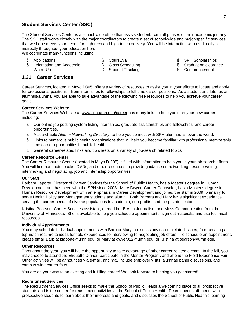### **Student Services Center (SSC)**

The Student Services Center is a school-wide office that assists students with all phases of their academic journey. The SSC staff works closely with the major coordinators to create a set of school-wide and major-specific services that we hope meets your needs for high-tech and high-touch delivery. You will be interacting with us directly or indirectly throughout your education here.

We coordinate many functions including:

§ Applications

§ CoursEval

§ SPH Scholarships

- § Orientation and Academic Warm-Up
- § Class Scheduling
- § Student Tracking
- § Graduation clearance
- § Commencement

### **1.21 Career Services**

Career Services, located in Mayo D305, offers a variety of resources to assist you in your efforts to locate and apply for professional positions – from internships to fellowships to full-time career positions. As a student and later as an alumnus/alumna, you are able to take advantage of the following free resources to help you achieve your career goals:

### **Career Services Website**

The Career Services Web site at [www.sph.umn.edu/career](http://www.sph.umn.edu/career) has many links to help you start your new career, including:

- § Our online job posting system listing internships, graduate assistantships and fellowships, and career opportunities.
- § A searchable *Alumni Networking Directory*, to help you connect with SPH alumnae all over the world.
- § Links to numerous public health organizations that will help you become familiar with professional membership and career opportunities in public health.
- § General career-related links and tip sheets on a variety of job-search related topics.

### **Career Resource Center**

The Career Resource Center (located in Mayo D-305) is filled with information to help you in your job search efforts. You will find handouts, books, DVDs, and other resources to provide guidance on networking, resume writing, interviewing and negotiating, job and internship opportunities.

### **Our Staff**

Barbara Laporte, Director of Career Services for the School of Public Health, has a Master's degree in Human Development and has been with the SPH since 2003. Mary Dwyer, Career Counselor, has a Master's degree in Human Resource Development with an emphasis in Career Development and joined the staff in 2009, primarily to serve Health Policy and Management students and alumni. Both Barbara and Mary have significant experience serving the career needs of diverse populations in academia, non-profits, and the private sector.

Kristina Pearson, Career Services assistant, earned her B.A. in Journalism and Mass Communication from the University of Minnesota. She is available to help you schedule appointments, sign out materials, and use technical resources.

### **Individual Appointments**

You may schedule individual appointments with Barb or Mary to discuss any career-related issues, from creating a top-notch resume to ideas for field experiences to interviewing to negotiating job offers. To schedule an appointment, please email Barb at [blaporte@umn.edu](mailto:blaporte@umn.edu), or Mary at dwyer012@umn.edu; or Kristina at pearson@umn.edu.

### **Other Resources**

Throughout the year, you will have the opportunity to take advantage of other career-related events. In the fall, you may choose to attend the Etiquette Dinner, participate in the Mentor Program, and attend the Field Experience Fair. Other activities will be announced via e-mail, and may include employer visits, alumnae panel discussions, and campus-wide career fairs.

You are on your way to an exciting and fulfilling career! We look forward to helping you get started!

### **Recruitment Services**

The Recruitment Services Office seeks to make the School of Public Health a welcoming place to all prospective students and is the center for recruitment activities at the School of Public Health. Recruitment staff meets with prospective students to learn about their interests and goals, and discusses the School of Public Health's learning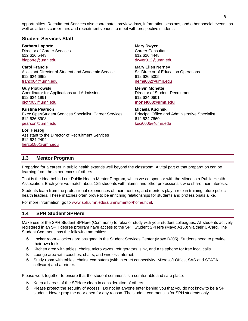opportunities. Recruitment Services also coordinates preview days, information sessions, and other special events, as well as attends career fairs and recruitment venues to meet with prospective students.

### **Student Services Staff**

**Barbara Laporte**  Director of Career Services 612.626.5443 [blaporte@umn.edu](mailto:blaporte@umn.edu)

**Carol Francis**  Assistant Director of Student and Academic Service 612.624.6952 [franc004@umn.edu](mailto:franc004@umn.edu)

**Guy Piotrowski**  Coordinator for Applications and Admissions 612.624.1991 [piotr005@umn.edu](mailto:piotr005@umn.edu)

**Kristina Pearson**  Exec Oper/Student Services Specialist, Career Services 612.626.8908 [pearson@umn.edu](mailto:pearson@umn.edu)

**Lori Herzog**  Assistant to the Director of Recruitment Services 612.624.2494 [herzo086@umn.edu](mailto:herzo086@umn.edu)

**Mary Dwyer**  Career Consultant 612.626.4448 [dwyer012@umn.edu](mailto:dwyer012@umn.edu)

**Mary Ellen Nerney**  Sr. Director of Education Operations 612.626.5005 [nerne002@umn.edu](mailto:nerne002@umn.edu)

**Melvin Monette**  Director of Student Recruitment 612.624.0601 **[monet008@umn.edu](mailto:monet008@umn.edu)**

**Micaela Kucinski**  Principal Office and Administrative Specialist 612.624.7660 [kuci0005@umn.edu](mailto:kuci0005@umn.edu)

### **1.3 Mentor Program**

Preparing for a career in public health extends well beyond the classroom. A vital part of that preparation can be learning from the experiences of others.

That is the idea behind our Public Health Mentor Program, which we co-sponsor with the Minnesota Public Health Association. Each year we match about 125 students with alumni and other professionals who share their interests.

Students learn from the professional experiences of their mentors, and mentors play a role in training future public health leaders. These matches often prove to be enriching relationships for students and professionals alike.

For more information, go to [www.sph.umn.edu/alumni/mentor/home.html.](http://www.sph.umn.edu/alumni/mentor/home.html)

### **1.4 SPH Student SPHere**

Make use of the SPH Student SPHere (Commons) to relax or study with your student colleagues. All students actively registered in an SPH degree program have access to the SPH Student SPHere (Mayo A150) via their U-Card. The Student Commons has the following amenities:

- § Locker room lockers are assigned in the Student Services Center (Mayo D305). Students need to provide their own lock.
- § Kitchen area with tables, chairs, microwaves, refrigerators, sink, and a telephone for free local calls.
- § Lounge area with couches, chairs, and wireless internet.
- § Study room with tables, chairs, computers (with internet connectivity, Microsoft Office, SAS and STATA software) and a printer.

Please work together to ensure that the student commons is a comfortable and safe place.

- § Keep all areas of the SPHere clean in consideration of others.
- § Please protect the security of access. Do not let anyone enter behind you that you do not know to be a SPH student. Never prop the door open for any reason. The student commons is for SPH students only.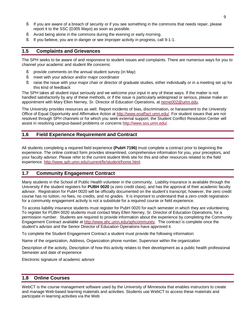- § If you are aware of a breach of security or if you see something in the commons that needs repair, please report it to the SSC (D305 Mayo) as soon as possible.
- § Avoid being alone in the commons during the evening or early morning.
- § If you believe, you are in danger or see improper activity in progress, call 9-1-1.

### **1.5 Complaints and Grievances**

The SPH seeks to be aware of and responsive to student issues and complaints. There are numerous ways for you to channel your academic and student life concerns:

- § provide comments on the annual student survey (in May)
- § meet with your advisor and/or major coordinator
- § raise the issue with your major chair or director of graduate studies, either individually or in a meeting set up for this kind of feedback

The SPH takes all student input seriously and we welcome your input in any of these ways. If the matter is not handled satisfactorily by any of these methods, or if the issue is particularly widespread or serious, please make an appointment with Mary Ellen Nerney, Sr. Director of Education Operations, at [nerne002@umn.edu.](mailto:nerne002@umn.edu)

The University provides resources as well. Report incidents of bias, discrimination, or harassment to the University Office of Equal Opportunity and Affirmative Action at [http://www.eoaffact.umn.edu/.](http://www.eoaffact.umn.edu/) For student issues that are not resolved through SPH channels or for which you seek external support, the Student Conflict Resolution Center will assist in resolving campus-based problems or concerns [http://www.sos.umn.edu/.](http://www.sos.umn.edu/)

### **1.6 Field Experience Requirement and Contract**

All students completing a required field experience **(PubH 7196)** must complete a contract prior to beginning the experience. The online contract form provides streamlined, comprehensive information for you, your preceptors, and your faculty advisor. Please refer to the current student Web site for this and other resources related to the field experience. [http://www.sph.umn.edu/current/fe/student/home.html.](http://www.sph.umn.edu/current/fe/student/home.html)

### **1.7 Community Engagement Contract**

Many students in the School of Public Health volunteer in the community. Liability insurance is available through the University if the student registers for **PUBH 0020** (a zero credit class), and has the approval of their academic faculty advisor. Registration for PubH 0020 will be officially documented on the student's transcript; however, the zero credit course has no tuition, no fees, no credits, and no grades. It is important to understand that a zero credit registration for a community engagement activity is not a substitute for a required course or field experience.

To access liability insurance students must register for PubH 0020 for each semester in which they are volunteering. To register for PUBH 0020 students must contact Mary Ellen Nerney, Sr. Director of Education Operations, for a permission number. Students are required to provide information about the experience by completing the Community Engagement Contract available at <http://www.ahc.umn.edu/sphcommunity>. The contract is complete once the student's advisor and the Senior Director of Education Operations have approved it.

To complete the Student Engagement Contract a student must provide the following information:

Name of the organization, Address, Organization phone number, Supervisor within the organization

Description of the activity, Description of how this activity relates to their development as a public health professional Semester and date of experience

Electronic signature of academic advisor

### **1.8 Online Courses**

WebCT is the course management software used by the University of Minnesota that enables instructors to create and manage Web-based learning materials and activities. Students use WebCT to access these materials and participate in learning activities via the Web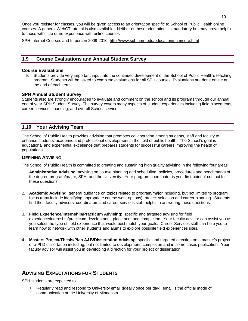Once you register for classes, you will be given access to an orientation specific to School of Public Health online courses. A general WebCT tutorial is also available. Neither of these orientations is mandatory but may prove helpful to those with little or no experience with online courses.

SPH Internet Courses and In person 2009-2010:<http://www.sph.umn.edu/education/phm/core.html>

### **1.9 Course Evaluations and Annual Student Survey**

### **Course Evaluations**

§ Students provide very important input into the continued development of the School of Public Health's teaching program. Students will be asked to complete evaluations for all SPH courses. Evaluations are done online at the end of each term.

### **SPH Annual Student Survey**

Students also are strongly encouraged to evaluate and comment on the school and its programs through our annual end of year SPH Student Survey. The survey covers many aspects of student experiences including field placements, career services, financing, and overall School service.

### **1.10 Your Advising Team**

The School of Public Health provides advising that promotes collaboration among students, staff and faculty to enhance students' academic and professional development in the field of public health. The School's goal is educational and experiential excellence that prepares students for successful careers improving the health of populations.

### **DEFINING ADVISING**

The School of Public Health is committed to creating and sustaining high quality advising in the following four areas:

- 1. **Administrative Advising**: advising on course planning and scheduling, policies, procedures and benchmarks of the degree program/major, SPH, and the University. Your program coordinator is your first point of contact for these questions
- 2. **Academic Advising**: general guidance on topics related to program/major including, but not limited to program focus (may include identifying appropriate course work options), project selection and career planning. Students find their faculty advisors, coordinators and career services staff helpful in answering these questions.
- 3. **Field Experience/Internship/Practicum Advising**: specific and targeted advising for field experience/internship/practicum development, placement and completion. Your faculty advisor can assist you as you select the type of field experience that would best match your goals. Career Services staff can help you to learn how to network with other students and alums to explore possible field experiences sites.
- 4. **Masters Project/Thesis/Plan A&B/Dissertation Advising**: specific and targeted direction on a master's project or a PhD dissertation including, but not limited to development, completion and in some cases publication. Your faculty advisor will assist you in developing a direction for your project or dissertation.

### **ADVISING EXPECTATIONS FOR STUDENTS**

SPH students are expected to…

• Regularly read and respond to University email (ideally once per day); email is the official mode of communication at the University of Minnesota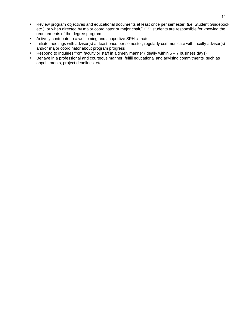- Review program objectives and educational documents at least once per semester, (i.e. Student Guidebook, etc.), or when directed by major coordinator or major chair/DGS; students are responsible for knowing the requirements of the degree program
- Actively contribute to a welcoming and supportive SPH climate
- Initiate meetings with advisor(s) at least once per semester; regularly communicate with faculty advisor(s) and/or major coordinator about program progress
- Respond to inquiries from faculty or staff in a timely manner (ideally within  $5 7$  business days)
- Behave in a professional and courteous manner; fulfill educational and advising commitments, such as appointments, project deadlines, etc.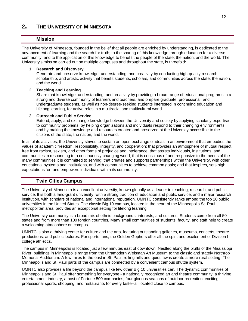### **2. THE UNIVERSITY OF MINNESOTA**

### **Mission**

The University of Minnesota, founded in the belief that all people are enriched by understanding, is dedicated to the advancement of learning and the search for truth; to the sharing of this knowledge through education for a diverse community; and to the application of this knowledge to benefit the people of the state, the nation, and the world. The University's mission carried out on multiple campuses and throughout the state, is threefold:

### 1. **Research and Discovery**

Generate and preserve knowledge, understanding, and creativity by conducting high-quality research, scholarship, and artistic activity that benefit students, scholars, and communities across the state, the nation, and the world.

### 2. **Teaching and Learning**

Share that knowledge, understanding, and creativity by providing a broad range of educational programs in a strong and diverse community of learners and teachers, and prepare graduate, professional, and undergraduate students, as well as non-degree-seeking students interested in continuing education and lifelong learning, for active roles in a multiracial and multicultural world.

### 3. **Outreach and Public Service**

Extend, apply, and exchange knowledge between the University and society by applying scholarly expertise to community problems, by helping organizations and individuals respond to their changing environments, and by making the knowledge and resources created and preserved at the University accessible to the citizens of the state, the nation, and the world.

In all of its activities, the University strives to sustain an open exchange of ideas in an environment that embodies the values of academic freedom, responsibility, integrity, and cooperation; that provides an atmosphere of mutual respect, free from racism, sexism, and other forms of prejudice and intolerance; that assists individuals, institutions, and communities in responding to a continuously changing world; that is conscious of and responsive to the needs of the many communities it is committed to serving; that creates and supports partnerships within the University, with other educational systems and institutions, and with communities to achieve common goals; and that inspires, sets high expectations for, and empowers individuals within its community.

### **Twin Cities Campus**

The University of Minnesota is an excellent university, known globally as a leader in teaching, research, and public service. It is both a land-grant university, with a strong tradition of education and public service, and a major research institution, with scholars of national and international reputation. UMNTC consistently ranks among the top 20 public universities in the United States. The classic Big 10 campus, located in the heart of the Minneapolis-St. Paul metropolitan area, provides an exceptional setting for lifelong learning.

The University community is a broad mix of ethnic backgrounds, interests, and cultures. Students come from all 50 states and from more than 100 foreign countries. Many small communities of students, faculty, and staff help to create a welcoming atmosphere on campus.

UMNTC is also a thriving center for culture and the arts, featuring outstanding galleries, museums, concerts, theatre productions, and public lectures. For sports fans, the Golden Gophers offer all the spirit and excitement of Division I college athletics.

The campus in Minneapolis is located just a few minutes east of downtown. Nestled along the bluffs of the Mississippi River, buildings in Minneapolis range from the ultramodern Weisman Art Museum to the classic and stately Northrop Memorial Auditorium. A few miles to the east in St. Paul, rolling hills and quiet lawns create a more rural setting. The Minneapolis and St. Paul parts of the campus are connected by a convenient campus shuttle system.

UMNTC also provides a life beyond the campus like few other Big 10 universities can. The dynamic communities of Minneapolis and St. Paul offer something for everyone - a nationally recognized art and theatre community, a thriving entertainment industry, a host of Fortune 500 companies, four glorious seasons of outdoor recreation, exciting professional sports, shopping, and restaurants for every taste--all located close to campus.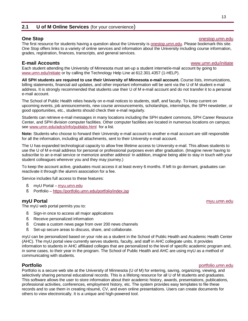### **2.1 U of M Online Services** (for your convenience)

### **One Stop One Stop onestop.umn.edu**

The first resource for students having a question about the University is onestop.umn.edu. Please bookmark this site. One Stop offers links to a variety of online services and information about the University including course information, grades, registration, finances, transcripts, and general services.

**E-mail Accounts** [www.umn.edu/initiate](http://www.umn.edu/initiate)

Each student attending the University of Minnesota must set-up a student internet/e-mail account by going to [www.umn.edu/initiate](http://www.umn.edu/initiate) or by calling the Technology Help Line at 612.301.4357 (1-HELP).

**All SPH students are required to use their University of Minnesota e-mail account.** Course lists, immunizations, billing statements, financial aid updates, and other important information will be sent via the U of M student e-mail address. It is strongly recommended that students use their U of M e-mail account and do not transfer it to a personal e-mail account.

The School of Public Health relies heavily on e-mail notices to students, staff, and faculty. To keep current on upcoming events, job announcements, new course announcements, scholarships, internships, the SPH newsletter, or good opportunities, etc., students should check their e-mail regularly.

Students can retrieve e-mail messages in many locations including the SPH student commons, SPH Career Resource Center, and SPH division computer facilities. Other computer facilities are located in numerous locations on campus; see [www.umn.edu/adcs/info/publabs.html](http://www.umn.edu/adcs/info/publabs.html) for a list.

**Note:** Students who choose to forward their University e-mail account to another e-mail account are still responsible for all the information, including all attachments, sent to their University e-mail account.

The U has expanded technological capacity to allow free lifetime access to University e-mail. This allows students to use the U of M e-mail address for personal or professional purposes even after graduation. (Imagine never having to subscribe to an e-mail service or memorize another address! In addition, imagine being able to stay in touch with your student colleagues wherever you and they may journey.)

To keep the account active, graduates must access it at least every 6 months. If left to go dormant, graduates can reactivate it through the alumni association for a fee.

Service includes full access to these features:

- § myU Portal myu.umn.edu
- § Portfolio <https://portfolio.umn.edu/portfolio/index.jsp>

### **myU Portal** myu.umn.edu

The myU web portal permits you to:

- § Sign-in once to access all major applications
- § Receive personalized information
- § Create a custom news page from over 200 news channels
- § Set-up secure areas to discuss, share, and collaborate.

myU can be personalized based on your role as a student in the School of Public Health and Academic Health Center (AHC). The myU portal view currently serves students, faculty, and staff in AHC collegiate units. It provides information to students in AHC affiliated colleges that are personalized to the level of specific academic program and, in some cases, to their year in the program. The School of Public Health and AHC are using myU as a method of communicating with students.

### **Portfolio** portfolio.umn.edu

Portfolio is a secure web site at the University of Minnesota (U of M) for entering, saving, organizing, viewing, and selectively sharing personal educational records. This is a lifelong resource for all U of M students and graduates. This software allows the user to store information about their academic history, awards, presentations, publications, professional activities, conferences, employment history, etc. The system provides easy templates to file these records and to use them in creating résumé, CV, and even online presentations. Users can create documents for others to view electronically. It is a unique and high-powered tool.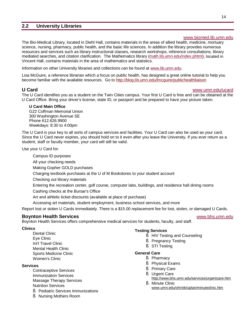### **2.2 University Libraries**

### [www.biomed.lib.umn.edu](http://www.biomed.lib.umn.edu)

The Bio-Medical Library, located in Diehl Hall, contains materials in the areas of allied health, medicine, mortuary science, nursing, pharmacy, public health, and the basic life sciences. In addition the library provides numerous resources and services such as library instructional classes, research workshops, reference consultations, library mediated searches, and citation clarification. The Mathematics library (math.lib.umn.edu/index.phtml), located in Vincent Hall, contains materials in the area of mathematics and statistics.

Information on other University libraries and collections can be found at [www.lib.umn.edu.](http://www.lib.umn.edu)

Lisa McGuire, a reference librarian which a focus on public health, has designed a great online tutorial to help you become familiar with the available resources. Go to <http://blog.lib.umn.edu/lmcguire/publichealthliaison>

### **U Card** [www.umn.edu/ucard](http://www.umn.edu/ucard)

The U Card identifies you as a student on the Twin Cities campus. Your first U Card is free and can be obtained at the U Card Office. Bring your driver's license, state ID, or passport and be prepared to have your picture taken.

**U Card Main Office**  G22 Coffman Memorial Union 300 Washington Avenue SE Phone 612.626.9900 Weekdays: 8:30 to 4:00pm

The U Card is your key to all sorts of campus services and facilities. Your U Card can also be used as your card. Since the U Card never expires, you should hold on to it even after you leave the University. If you ever return as a student, staff or faculty member, your card will still be valid.

Use your U Card for:

Campus ID purposes All your checking needs Making Gopher GOLD purchases Charging textbook purchases at the U of M Bookstores to your student account Checking out library materials Entering the recreation center, golf course, computer labs, buildings, and residence hall dining rooms

Cashing checks at the Bursar's Office

- Art and athletic ticket discounts (available at place of purchase)
- Accessing art materials, student employment, business school services, and more

Report lost or stolen U Cards immediately. There is a \$15.00 replacement fee for lost, stolen, or damaged U Cards.

### **Boynton Health Services** [www.bhs.umn.edu](http://www.bhs.umn.edu)

Boynton Health Services offers comprehensive medical services for students, faculty, and staff.

### **Clinics**

Dental Clinic Eye Clinic Int'l Travel Clinic Mental Health Clinic Sports Medicine Clinic Women's Clinic

### **Services**

Contraceptive Services Immunization Services Massage Therapy Services Nutrition Services

- § Pediatric Services Immunizations
- § Nursing Mothers Room

### **Testing Services**

- § HIV Testing and Counseling
- § Pregnancy Testing
- § STI Testing

### **General Care**

- § Pharmacy
	- § Physical Exams
- § Primary Care
- § Urgent Care <http://www.bhs.umn.edu/services/urgentcare.htm>
- § Minute Clinic [www.umn.edu/ohr/eb/uplan/minuteclinic.htm](http://www.umn.edu/ohr/eb/uplan/minuteclinic.htm)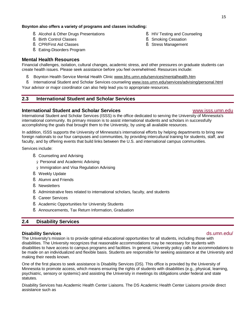### **Boynton also offers a variety of programs and classes including:**

- § Alcohol & Other Drugs Presentations
- § Birth Control Classes
- § CPR/First Aid Classes
- § Eating-Disorders Program

### **Mental Health Resources**

Financial challenges, isolation, cultural changes, academic stress, and other pressures on graduate students can create health issues. Please seek assistance before you feel overwhelmed. Resources include:

- § Boynton Health Service Mental Health Clinic [www.bhs.umn.edu/services/mentalhealth.htm](http://www.bhs.umn.edu/services/mentalhealth.htm)
- § International Student and Scholar Services counseling [www.isss.umn.edu/services/advising/personal.html](http://www.isss.umn.edu/services/advising/personal.html)

Your advisor or major coordinator can also help lead you to appropriate resources.

### **2.3 International Student and Scholar Services**

### **International Student and Scholar Services** [www.isss.umn.edu](http://www.isss.umn.edu)

International Student and Scholar Services (ISSS) is the office dedicated to serving the University of Minnesota's international community. Its primary mission is to assist international students and scholars in successfully accomplishing the goals that brought them to the University, by using all available resources.

In addition, ISSS supports the University of Minnesota's international efforts by helping departments to bring new foreign nationals to our four campuses and communities, by providing intercultural training for students, staff, and faculty, and by offering events that build links between the U.S. and international campus communities.

Services include:

- § Counseling and Advising
	- Ø Personal and Academic Advising

Ø Immigration and Visa Regulation Advising

- § Weekly Update
- § Alumni and Friends
- § Newsletters
- § Administrative fees related to international scholars, faculty, and students
- § Career Services
- § Academic Opportunities for University Students
- § Announcements, Tax Return Information, Graduation

### **2.4 Disability Services**

### **Disability Services** ds.umn.edu/

The University's mission is to provide optimal educational opportunities for all students, including those with disabilities. The University recognizes that reasonable accommodations may be necessary for students with disabilities to have access to campus programs and facilities. In general, University policy calls for accommodations to be made on an individualized and flexible basis. Students are responsible for seeking assistance at the University and making their needs known.

One of the first places to seek assistance is Disability Services (DS). This office is provided by the University of Minnesota to promote access, which means ensuring the rights of students with disabilities (e.g., physical, learning, psychiatric, sensory or systemic) and assisting the University in meetings its obligations under federal and state statutes.

Disability Services has Academic Health Center Liaisons. The DS Academic Health Center Liaisons provide direct assistance such as

### § HIV Testing and Counseling

- § Smoking Cessation
- § Stress Management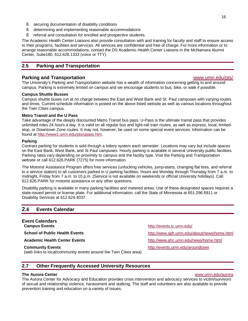- § securing documentation of disability conditions
- § determining and implementing reasonable accommodations
- § referral and consultation for enrolled and prospective students.

The Academic Health Center Liaisons also provide consultation with and training for faculty and staff to ensure access to their programs, facilities and services. All services are confidential and free of charge. For more information or to arrange reasonable accommodations, contact the DS Academic Health Center Liaisons in the McNamara Alumni Center, Suite180, 612.626.1333 (voice or TTY)

### **2.5 Parking and Transportation**

### **Parking and Transportation** [www.umn.edu/pts/](http://www.umn.edu/pts/)

The University's *Parking and Transportation* website has a wealth of information concerning getting to and around campus. Parking is extremely limited on campus and we encourage students to bus, bike, or walk if possible.

### **Campus Shuttle Busses**

Campus shuttle buses run at no charge between the East and West Bank and St. Paul campuses with varying routes and times. Current schedule information is posted on the above listed website as well as various locations throughout the Twin Cities campus.

### **Metro Transit and the U Pass**

Take advantage of the deeply discounted Metro Transit bus pass. U-Pass is the ultimate transit pass that provides unlimited rides 24 hours a day. It is valid on all regular bus and light-rail train routes, as well as express, local, limitedstop, or Downtown Zone routes. It may not, however, be used on some special event services. Information can be found at<http://www1.umn.edu/pts/upass.htm>.

### **Parking**

Contract parking for students is sold through a lottery system each semester. Locations may vary but include spaces on the East Bank, West Bank, and St Paul campuses. Hourly parking is available in several University public facilities. Parking rates vary depending on proximity to campus and the facility type. Visit the Parking and Transportation website or call 612.626.PARK (7275) for more information.

The Motorist Assistance Program offers free services (unlocking vehicles, jump-starts, changing flat tires, and referral to a service station) to all customers parked in U parking facilities. Hours are Monday through Thursday from 7 a.m. to midnight, Friday from 7 a.m. to 10 p.m. (Service is not available on weekends or official University holidays). Call 612.626.PARK for motorist assistance or any other questions.

Disability parking is available in many parking facilities and metered areas. Use of these designated spaces requires a state-issued permit or license plate. For additional information, call the State of Minnesota at 651.296.6911 or Disability Services at 612.624.4037.

### **2.6 Events Calendar**

### **Event Calendars Campus Events** <http://events.tc.umn.edu/>

**Community Events**

(web links to local/community events around the Twin Cities area)

**School of Public Health Events <http://www.sph.umn.edu/about/news/home.html> Academic Health Center Events** <http://www.ahc.umn.edu/news/home.html>

<http://events.umn.edu/aroundtown>

### **2.7 Other Frequently Accessed University Resources**

### **The Aurora Center** [www.umn.edu/aurora](http://www.umn.edu/aurora)

The Aurora Center for Advocacy and Education provides crisis intervention and advocacy services to victim/survivors of sexual and relationship violence, harassment and stalking. The staff and volunteers are also available to provide prevention training and education on a variety of issues.

### 16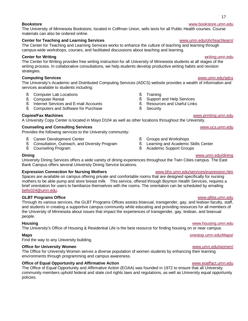### **Bookstore** [www.bookstore.umn.edu](http://www.bookstore.umn.edu)

The University of Minnesota Bookstore, located in Coffman Union, sells texts for all Public Health courses. Course materials can also be ordered online.

### **Center for Teaching and Learning Services All and Community Center Manufacturers** [www.umn.edu/ohr/teachlearn/](http://www.umn.edu/ohr/teachlearn/)

The Center for Teaching and Learning Services works to enhance the culture of teaching and learning through campus-wide workshops, courses, and facilitated discussions about teaching and learning.

### **Center for Writing** writing.umn.edu

The Center for Writing provides free writing instruction for all University of Minnesota students at all stages of the writing process. In collaborative consultations, we help students develop productive writing habits and revision strategies.

### **Computing Services** [www.umn.edu/adcs](http://www.umn.edu/adcs)

The University's Academic and Distributed Computing Services (ADCS) website provides a wealth of information and services available to students including:

- § Computer Lab Locations
- § Computer Rental
- § Internet Services and E-mail Accounts
- § Computers and Software for Purchase

### **Copies/Fax Machines** [www.printing.umn.edu](http://www.printing.umn.edu)

A University Copy Center is located in Mayo D104 as well as other locations throughout the University.

### **Counseling and Consulting Services** [www.ucs.umn.edu](http://www.ucs.umn.edu)

- Provides the following services to the University community:
	- § Career Development Center
	- § Consultation, Outreach, and Diversity Program
	- § Counseling Program
- § Training
- § Support and Help Services
- 
- § Security

- § Groups and Workshops
- § Learning and Academic Skills Center
- § Academic Support Groups

### **Dining** [www.umn.edu/dining](http://www.umn.edu/dining)

University Dining Services offers a wide variety of dining experiences throughout the Twin Cities campus. The East Bank Campus offers several University Dining Service locations.

### **Expression Connection for Nursing Mothers** [www.bhs.umn.edu/services/expression.htm](http://www.bhs.umn.edu/services/expression.htm)

Spaces are available on campus offering private and comfortable rooms that are designed specifically for nursing mothers to be able pump and store breast milk. This service, offered through Boynton Health Services, requires a brief orientation for users to familiarize themselves with the rooms. The orientation can be scheduled by emailing [bellx024@umn.edu](mailto:bellx024@umn.edu).

### **GLBT Programs Office** [www.glbta.umn.edu](http://www.glbta.umn.edu)

Through its various services, the GLBT Programs Offices assists bisexual, transgender, gay, and lesbian faculty, staff, and students in creating a supportive campus community while educating and providing resources for all members of the University of Minnesota about issues that impact the experiences of transgender, gay, lesbian, and bisexual people.

### **Housing** [www.housing.umn.edu](http://www.housing.umn.edu)

The University's Office of Housing & Residential Life is the best resource for finding housing on or near campus.

### **Maps** onestop.umn.edu/Maps/

Find the way to any University building.

### **Office for University Women** [www.umn.edu/women/](http://www.umn.edu/women/)

The Office for University Women serves a diverse population of women students by enhancing their learning environments through programming and campus awareness.

### **Office of Equal Opportunity and Affirmative Action** [www.eoaffact.umn.edu](http://www.eoaffact.umn.edu)

The Office of Equal Opportunity and Affirmative Action (EOAA) was founded in 1972 to ensure that all University community members uphold federal and state civil rights laws and regulations, as well as University equal opportunity policies.

- § Resources and Useful Links
- 
-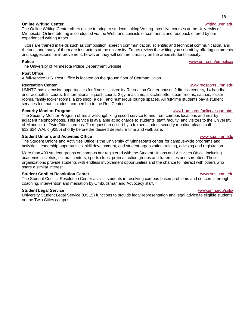### **Online Writing Center** writing.umn.edu

The Online Writing Center offers online tutoring to students taking Writing-Intensive courses at the University of Minnesota. Online tutoring is conducted via the Web, and consists of comments and feedback offered by our experienced writing tutors.

Tutors are trained in fields such as composition, speech communication, scientific and technical communication, and rhetoric, and many of them are instructors at the university. Tutors review the writing you submit by offering comments and suggestions for improvement; however, they will comment mainly on the areas students specify.

### **Police** [www.umn.edu/umpolice/](http://www.umn.edu/umpolice/)

The University of Minnesota Police Department website.

### **Post Office**

A full-service U.S. Post Office is located on the ground floor of Coffman Union.

### **Recreation Center Number of Allen Structure and Structure and Structure and Structure and Structure and Structure and Structure and Structure and Structure and Structure and Structure and Structure and Structure and Str**

UMNTC has extensive opportunities for fitness. University Recreation Center houses 2 fitness centers, 14 handball and racquetball courts, 5 international squash courts, 2 gymnasiums, a kitchenette, steam rooms, saunas, locker rooms, family locker rooms, a pro shop, a deli, and numerous lounge spaces. All full-time students pay a student services fee that includes membership to the Rec Center.

The Security Monitor Program offers a walking/biking escort service to and from campus locations and nearby adjacent neighborhoods. This service is available at no charge to students, staff, faculty, and visitors to the University of Minnesota - Twin Cities campus. To request an escort by a trained student security monitor, please call 612.624.WALK (9255) shortly before the desired departure time and walk safe.

### **Student Unions and Activities Office** [www.sua.umn.edu](http://www.sua.umn.edu)

The Student Unions and Activities Office is the University of Minnesota's center for campus-wide programs and activities, leadership opportunities, skill development, and student organization training, advising and registration.

More than 400 student groups on campus are registered with the Student Unions and Activities Office, including academic societies, cultural centers, sports clubs, political action groups and fraternities and sororities. These organizations provide students with endless involvement opportunities and the chance to interact with others who share a similar interest.

### **Student Conflict Resolution Center** [www.sos.umn.edu](http://www.sos.umn.edu)

The Student Conflict Resolution Center assists students in resolving campus-based problems and concerns through coaching, intervention and mediation by Ombudsman and Advocacy staff.

### **Student Legal Service** [www.umn.edu/usls/](http://www.umn.edu/usls/)

University Student Legal Service (USLS) functions to provide legal representation and legal advice to eligible students on the Twin Cities campus.

**Security Monitor Program** www1.umn.edu/police/escort.html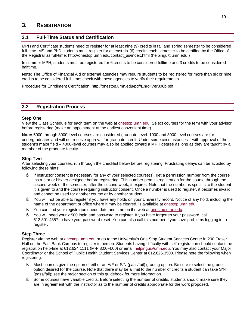### **3. REGISTRATION**

### **3.1 Full-Time Status and Certification**

MPH and Certificate students need to register for at least nine (9) credits in fall and spring semester to be considered full-time. MS and PhD students must register for at least six (6) credits each semester to be certified by the Office of the Registrar as full-time: [http://onestop.umn.edu/contact\\_us/index.html](http://onestop.umn.edu/contact_us/index.html) (helpingu@umn.edu.)

In summer MPH, students must be registered for 6 credits to be considered fulltime and 3 credits to be considered halftime.

**Note:** The Office of Financial Aid or external agencies may require students to be registered for more than six or nine credits to be considered full-time; check with these agencies to verify their requirements.

Procedure for Enrollment Certification: <http://onestop.umn.edu/pdf/EnrollVer806b.pdf>

### **3.2 Registration Process**

### **Step One**

View the Class Schedule for each term on the web at onestop.umn.edu. Select courses for the term with your advisor before registering (make an appointment at the earliest convenient time).

**Note:** 5000 through 8000-level courses are considered graduate-level. 1000 and 3000-level courses are for undergraduates and will not receive approval for graduate credit. Under some circumstances – with approval of the student's major field – 4000-level courses may also be applied toward a MPH degree as long as they are taught by a member of the graduate faculty.

### **Step Two**

After selecting your courses, run through the checklist below before registering. Frustrating delays can be avoided by following these hints:

- § If instructor consent is necessary for any of your selected course(s), get a permission number from the course instructor or his/her designee before registering. This number permits registration for the course through the second week of the semester; after the second week, it expires. Note that the number is specific to the student it is given to and the course requiring instructor consent. Once a number is used to register, it becomes invalid and cannot be used for another course or by another student.
- § You will not be able to register if you have any holds on your University record. Notice of any hold, including the name of the department or office where it may be cleared, is available at onestop.umn.edu.
- § You can find your registration queue date and time on the web at onestop.umn.edu.
- § You will need your x.500 login and password to register. If you have forgotten your password, call 612.301.4357 to have your password reset. You can also call this number if you have problems logging in to register.

### **Step Three**

Register via the web at onestop.umn.edu or go to the University's One Stop Student Services Center in 200 Fraser Hall on the East Bank Campus to register in person. Students having difficulty with self-registration should contact the registration help-line at 612.624.1111 (M-F 8:00-4:00) or email [helpingu@umn.edu](mailto:helpingu@umn.edu). You may also contact your Major Coordinator or the School of Public Health Student Services Center at 612.626.3500. Please note the following when registering:

- § Most courses give the option of either an A/F or S/N (pass/fail) grading option. Be sure to select the grade option desired for the course. Note that there may be a limit to the number of credits a student can take S/N (pass/fail); see the major section of this guidebook for more information.
- § Some courses have variable credits. Before selecting the number of credits, students should make sure they are in agreement with the instructor as to the number of credits appropriate for the work proposed.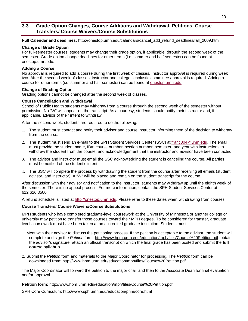### **3.3 Grade Option Changes, Course Additions and Withdrawal, Petitions, Course Transfers/ Course Waivers/Course Substitutions**

**Full Calendar and deadlines:** [http://onestop.umn.edu/calendars/cancel\\_add\\_refund\\_deadlines/fall\\_2009.html](http://onestop.umn.edu/calendars/cancel_add_refund_deadlines/fall_2009.html)

### **Change of Grade Option**

For full-semester courses, students may change their grade option, if applicable, through the second week of the semester. Grade option change deadlines for other terms (i.e. summer and half-semester) can be found at onestop.umn.edu.

### **Adding a Course**

No approval is required to add a course during the first week of classes. Instructor approval is required during week two. After the second week of classes, instructor and college scholastic committee approval is required. Adding a course for other terms (i.e. summer and half-semester) can be found at onestop.umn.edu.

### **Change of Grading Option**

Grading options cannot be changed after the second week of classes.

### **Course Cancellation and Withdrawal**

School of Public Health students may withdraw from a course through the second week of the semester without permission. No "W" will appear on the transcript. As a courtesy, students should notify their instructor and, if applicable, advisor of their intent to withdraw.

After the second week, students are required to do the following:

- 1. The student must contact and notify their advisor and course instructor informing them of the decision to withdraw from the course.
- 2. The student must send an e-mail to the SPH Student Services Center (SSC) at [franc004@umn.edu.](mailto:franc004@umn.edu) The email must provide the student name, ID#, course number, section number, semester, and year with instructions to withdraw the student from the course, and acknowledgement that the instructor and advisor have been contacted.
- 3. The advisor and instructor must email the SSC acknowledging the student is canceling the course. All parties must be notified of the student's intent.
- 4. The SSC will complete the process by withdrawing the student from the course after receiving all emails (student, advisor, and instructor). A "W" will be placed and remain on the student transcript for the course.

After discussion with their advisor and notification to the instructor, students may withdraw up until the eighth week of the semester. There is no appeal process. For more information, contact the SPH Student Services Center at 612.626.3500.

A refund schedule is listed at <http://onestop.umn.edu>. Please refer to these dates when withdrawing from courses.

### **Course Transfers/ Course Waivers/Course Substitutions**

MPH students who have completed graduate-level coursework at the University of Minnesota or another college or university may petition to transfer those courses toward their MPH degree. To be considered for transfer, graduate level coursework must have been taken at an accredited graduate institution. Students must:

- 1. Meet with their advisor to discuss the petitioning process. If the petition is acceptable to the advisor, the student will complete and sign the *Petition* form:<http://www.hpm.umn.edu/education/mph/files/Course%20Petition.pdf>, obtain the advisor's signature, attach an official transcript on which the final grade has been posted and submit the **full course syllabus**.
- 2. Submit the *Petition* form and materials to the Major Coordinator for processing. The *Petition* form can be downloaded from: <http://www.hpm.umn.edu/education/mph/files/Course%20Petition.pdf>

The Major Coordinator will forward the petition to the major chair and then to the Associate Dean for final evaluation and/or approval.

### **Petition form:** <http://www.hpm.umn.edu/education/mph/files/Course%20Petition.pdf>

SPH Core Curriculum: <http://www.sph.umn.edu/education/phm/core.html>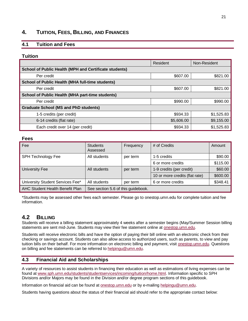### **4. TUITION, FEES, BILLING, AND FINANCES**

### **4.1 Tuition and Fees**

### **Tuition**

|                                                         | Resident   | Non-Resident |
|---------------------------------------------------------|------------|--------------|
| School of Public Health (MPH and Certificate students)  |            |              |
| Per credit                                              | \$607.00   | \$821.00     |
| <b>School of Public Health (MHA full-time students)</b> |            |              |
| Per credit                                              | \$607.00   | \$821.00     |
| <b>School of Public Health (MHA part-time students)</b> |            |              |
| Per credit                                              | \$990.00   | \$990.00     |
| <b>Graduate School (MS and PhD students)</b>            |            |              |
| 1-5 credits (per credit)                                | \$934.33   | \$1,525.83   |
| 6-14 credits (flat rate)                                | \$5,606.00 | \$9,155.00   |
| Each credit over 14 (per credit)                        | \$934.33   | \$1,525.83   |

### **Fees**

| Fee                              | <b>Students</b><br>Assessed        | Frequency | # of Credits                   | Amount   |
|----------------------------------|------------------------------------|-----------|--------------------------------|----------|
| <b>SPH Technology Fee</b>        | All students                       | per term  | 1-5 credits                    | \$90.00  |
|                                  |                                    |           | 6 or more credits              | \$115.00 |
| University Fee                   | All students                       | per term  | 1-9 credits (per credit)       | \$60.00  |
|                                  |                                    |           | 10 or more credits (flat rate) | \$600.00 |
| University Student Services Fee* | All students                       | per term  | 6 or more credits              | \$348.41 |
| AHC Student Health Benefit Plan  | See section 5.6 of this guidebook. |           |                                |          |

\*Students may be assessed other fees each semester. Please go to onestop.umn.edu for complete tuition and fee information.

### **4.2 BILLING**

Students will receive a billing statement approximately 4 weeks after a semester begins (May/Summer Session billing statements are sent mid-June. Students may view their fee statement online at **onestop.umn.edu**.

Students will receive electronic bills and have the option of paying their bill online with an electronic check from their checking or savings account. Students can also allow access to authorized users, such as parents, to view and pay tuition bills on their behalf. For more information on electronic billing and payment, visit onestop.umn.edu. Questions on billing and fee statements can be referred to [helpingu@umn.edu.](mailto:helpingu@umn.edu)

### **4.3 Financial Aid and Scholarships**

A variety of resources to assist students in financing their education as well as estimations of living expenses can be found at [www.sph.umn.edu/students/studentservices/incoming/tuition/home.html.](http://www.sph.umn.edu/students/studentservices/incoming/tuition/home.html) Information specific to SPH Divisions and/or Majors may be found in the Division and/or degree program sections of this guidebook.

Information on financial aid can be found at **onestop.umn.edu** or by e-mailing [helpingu@umn.edu](mailto:helpingu@umn.edu).

Students having questions about the status of their financial aid should refer to the appropriate contact below: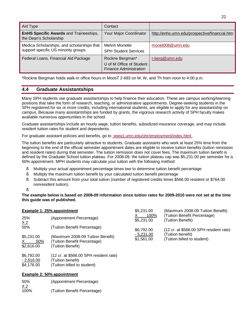| Aid Type                                                                          | Contact                                                                      |                                               |
|-----------------------------------------------------------------------------------|------------------------------------------------------------------------------|-----------------------------------------------|
| <b>EnHS Specific Awards and Traineeships,</b><br>the Dean's Scholarship           | Your Major Coordinator                                                       | http://enhs.umn.edu/prospective/financial.htm |
| Medica Scholarships, and scholarships that<br>support specific US minority groups | <b>Melvin Monette</b><br><b>SPH Student Services</b>                         | monet008@umn.edu                              |
| Federal Loans, Financial Aid Package                                              | Rockne Bergman*<br>U of M Office of Student<br><b>Finance Administration</b> | r-berg@umn.edu                                |

\*Rockne Bergman holds walk-in office hours in MoosT 2-693 on M, W, and Th from noon to 4:00 p.m.

### **4.4 Graduate Assistantships**

Many SPH students use graduate assistantships to help finance their education. These are campus working/learning positions that take the form of research, teaching, or administrative appointments. Degree-seeking students in the SPH registered for six or more credits, including international students, are eligible to apply for any assistantship on campus. Because many assistantships are funded by grants, the vigorous research activity of SPH faculty makes available numerous opportunities in the school.

Graduate assistantships include an hourly wage, tuition benefits, subsidized insurance coverage, and may include resident tuition rates for student and dependents.

For graduate assistant policies and benefits, go to www1.umn.edu/ohr/employment/index.html.

The tuition benefits are particularly attractive to students. Graduate assistants who work at least 25% time from the beginning to the end of the official semester appointment dates are eligible to receive tuition benefits (tuition remission and resident rates) during that semester. The tuition remission does not cover fees. The maximum tuition benefit is defined by the Graduate School tuition plateau. For 2008-09, the tuition plateau cap was \$5,231.00 per semester for a 50% appointment. MPH students may calculate your tuition with the following method:

- § Multiply your actual appointment percentage times two to determine tuition benefit percentage
- § Multiply the maximum tuition benefit by your calculated tuition benefit percentage
- § Subtract this amount from your total tuition (number of registered credits times \$566.00 resident or \$764.00 nonresident tuition).
- §

**The example below is based on 2008-09 information since tuition rates for 2009-2010 were not set at the time this guide was of published.** 

| <b>Example 1: 25% appointment</b>     |                                                                                        | \$5,231.00                | (Maximum 2008-09 Tuition Benefit)                 |  |
|---------------------------------------|----------------------------------------------------------------------------------------|---------------------------|---------------------------------------------------|--|
| 25%<br>X <sub>2</sub>                 | (Appointment Percentage)                                                               | 100%<br>\$5,231.00        | (Tuition Benefit Percentage)<br>(Tuition Benefit) |  |
| 50%                                   | (Tuition Benefit Percentage)                                                           | \$6,792.00                | (12 cr. at \$566.00 SPH resident rate)            |  |
| \$5,231.00<br>50%<br>X.<br>\$2,616.00 | (Maximum 2008-09 Tuition Benefit)<br>(Tuition Benefit Percentage)<br>(Tuition Benefit) | $-5,231.00$<br>\$1,561.00 | (Tuition benefit)<br>(Tuition billed to student)  |  |
| \$6,792.00                            | $(12 \text{ cr. at } $566.00 \text{ SPH}$ resident rate)                               |                           |                                                   |  |

### - 2,616.00 (Tuition benefit)

\$4,176.00 (Tuition billed to student)

### **Example 2: 50% appointment**

50% (Appointment Percentage)  $X<sub>2</sub>$ 100% (Tuition Benefit Percentage)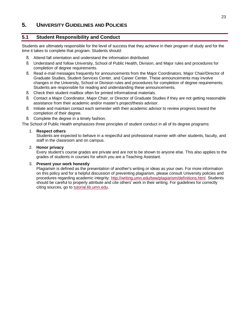### **5. UNIVERSITY GUIDELINES AND POLICIES**

### **5.1 Student Responsibility and Conduct**

Students are ultimately responsible for the level of success that they achieve in their program of study and for the time it takes to complete that program. Students should:

- § Attend fall orientation and understand the information distributed.
- § Understand and follow University, School of Public Health, Division, and Major rules and procedures for completion of degree requirements.
- § Read e-mail messages frequently for announcements from the Major Coordinators, Major Chair/Director of Graduate Studies, Student Services Center, and Career Center. These announcements may involve changes in the University, School or Division rules and procedures for completion of degree requirements; Students are responsible for reading and understanding these announcements.
- § Check their student mailbox often for printed informational materials.
- § Contact a Major Coordinator, Major Chair, or Director of Graduate Studies if they are not getting reasonable assistance from their academic and/or master's project/thesis advisor.
- § Initiate and maintain contact each semester with their academic advisor to review progress toward the completion of their degree.
- § Complete the degree in a timely fashion.

The School of Public Health emphasizes three principles of student conduct in all of its degree programs:

### 1. **Respect others**

Students are expected to behave in a respectful and professional manner with other students, faculty, and staff in the classroom and on campus.

### 2. **Honor privacy**

Every student's course grades are private and are not to be shown to anyone else. This also applies to the grades of students in courses for which you are a Teaching Assistant.

### 3. **Present your work honestly**

Plagiarism is defined as the presentation of another's writing or ideas as your own. For more information on this policy and for a helpful discussion of preventing plagiarism, please consult University policies and procedures regarding academic integrity: [http://writing.umn.edu/tww/plagiarism/definitions.html.](http://writing.umn.edu/tww/plagiarism/definitions.html) Students should be careful to properly attribute and cite others' work in their writing. For guidelines for correctly citing sources, go to tutorial.lib.umn.edu.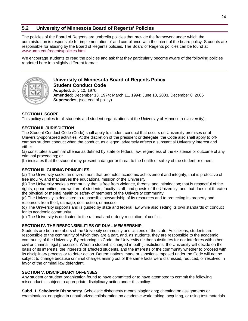### **5.2 University of Minnesota Board of Regents' Policies**

The policies of the Board of Regents are umbrella policies that provide the framework under which the administration is responsible for implementation of and compliance with the intent of the board policy. Students are responsible for abiding by the Board of Regents policies. The Board of Regents policies can be found at [www.umn.edu/regents/policies.html](http://www.umn.edu/regents/policies.html).

We encourage students to read the policies and ask that they particularly become aware of the following policies reprinted here in a slightly different format:



### **University of Minnesota Board of Regents Policy Student Conduct Code**

**Adopted:** July 10, 1970 **Amended:** December 13, 1974; March 11, 1994; June 13, 2003, December 8, 2006 **Supersedes:** (see end of policy)

### **SECTION I. SCOPE.**

This policy applies to all students and student organizations at the University of Minnesota (University).

### **SECTION II. JURISDICTION.**

The Student Conduct Code (Code) shall apply to student conduct that occurs on University premises or at University-sponsored activities. At the discretion of the president or delegate, the Code also shall apply to offcampus student conduct when the conduct, as alleged, adversely affects a substantial University interest and either:

(a) constitutes a criminal offense as defined by state or federal law, regardless of the existence or outcome of any criminal proceeding; or

(b) indicates that the student may present a danger or threat to the health or safety of the student or others.

### **SECTION III. GUIDING PRINCIPLES.**

(a) The University seeks an environment that promotes academic achievement and integrity, that is protective of free inquiry, and that serves the educational mission of the University.

(b) The University seeks a community that is free from violence, threats, and intimidation; that is respectful of the rights, opportunities, and welfare of students, faculty, staff, and guests of the University; and that does not threaten the physical or mental health or safety of members of the University community.

(c) The University is dedicated to responsible stewardship of its resources and to protecting its property and resources from theft, damage, destruction, or misuse.

(d) The University supports and is guided by state and federal law while also setting its own standards of conduct for its academic community.

(e) The University is dedicated to the rational and orderly resolution of conflict.

### **SECTION IV. THE RESPONSIBILITIES OF DUAL MEMBERSHIP.**

Students are both members of the University community and citizens of the state. As citizens, students are responsible to the community of which they are a part, and, as students, they are responsible to the academic community of the University. By enforcing its Code, the University neither substitutes for nor interferes with other civil or criminal legal processes. When a student is charged in both jurisdictions, the University will decide on the basis of its interests, the interests of affected students, and the interests of the community whether to proceed with its disciplinary process or to defer action. Determinations made or sanctions imposed under the Code will not be subject to change because criminal charges arising out of the same facts were dismissed, reduced, or resolved in favor of the criminal law defendant.

### **SECTION V. DISCIPLINARY OFFENSES.**

Any student or student organization found to have committed or to have attempted to commit the following misconduct is subject to appropriate disciplinary action under this policy:

**Subd. 1. Scholastic Dishonesty.** Scholastic dishonesty means plagiarizing; cheating on assignments or examinations; engaging in unauthorized collaboration on academic work; taking, acquiring, or using test materials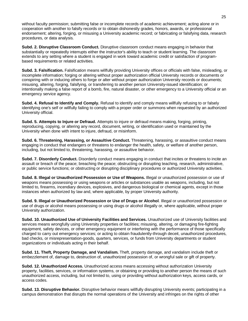without faculty permission; submitting false or incomplete records of academic achievement; acting alone or in cooperation with another to falsify records or to obtain dishonestly grades, honors, awards, or professional endorsement; altering, forging, or misusing a University academic record; or fabricating or falsifying data, research procedures, or data analysis.

**Subd. 2. Disruptive Classroom Conduct.** Disruptive classroom conduct means engaging in behavior that substantially or repeatedly interrupts either the instructor's ability to teach or student learning. The classroom extends to any setting where a student is engaged in work toward academic credit or satisfaction of programbased requirements or related activities.

**Subd. 3. Falsification.** Falsification means willfully providing University offices or officials with false, misleading, or incomplete information; forging or altering without proper authorization official University records or documents or conspiring with or inducing others to forge or alter without proper authorization University records or documents; misusing, altering, forging, falsifying, or transferring to another person University-issued identification; or intentionally making a false report of a bomb, fire, natural disaster, or other emergency to a University official or an emergency service agency.

**Subd. 4. Refusal to Identify and Comply.** Refusal to identify and comply means willfully refusing to or falsely identifying one's self or willfully failing to comply with a proper order or summons when requested by an authorized University official.

**Subd. 5. Attempts to Injure or Defraud.** Attempts to injure or defraud means making, forging, printing, reproducing, copying, or altering any record, document, writing, or identification used or maintained by the University when done with intent to injure, defraud, or misinform.

**Subd. 6. Threatening, Harassing, or Assaultive Conduct.** Threatening, harassing, or assaultive conduct means engaging in conduct that endangers or threatens to endanger the health, safety, or welfare of another person, including, but not limited to, threatening, harassing, or assaultive behavior.

**Subd. 7. Disorderly Conduct.** Disorderly conduct means engaging in conduct that incites or threatens to incite an assault or breach of the peace; breaching the peace; obstructing or disrupting teaching, research, administrative, or public service functions; or obstructing or disrupting disciplinary procedures or authorized University activities.

**Subd. 8. Illegal or Unauthorized Possession or Use of Weapons.** Illegal or unauthorized possession or use of weapons means possessing or using weapons or articles or substances usable as weapons, including, but not limited to, firearms, incendiary devices, explosives, and dangerous biological or chemical agents, except in those instances when authorized by law and, where applicable, by proper University authority.

**Subd. 9. Illegal or Unauthorized Possession or Use of Drugs or Alcohol**. Illegal or unauthorized possession or use of drugs or alcohol means possessing or using drugs or alcohol illegally or, where applicable, without proper University authorization.

**Subd. 10. Unauthorized Use of University Facilities and Services.** Unauthorized use of University facilities and services means wrongfully using University properties or facilities; misusing, altering, or damaging fire-fighting equipment, safety devices, or other emergency equipment or interfering with the performance of those specifically charged to carry out emergency services; or acting to obtain fraudulently-through deceit, unauthorized procedures, bad checks, or misrepresentation-goods, quarters, services, or funds from University departments or student organizations or individuals acting in their behalf.

**Subd. 11. Theft, Property Damage, and Vandalism.** Theft, property damage, and vandalism include theft or embezzlement of, damage to, destruction of, unauthorized possession of, or wrongful sale or gift of property.

**Subd. 12. Unauthorized Access.** Unauthorized access means accessing without authorization University property, facilities, services, or information systems, or obtaining or providing to another person the means of such unauthorized access, including, but not limited to, using or providing without authorization keys, access cards, or access codes.

**Subd. 13. Disruptive Behavior.** Disruptive behavior means willfully disrupting University events; participating in a campus demonstration that disrupts the normal operations of the University and infringes on the rights of other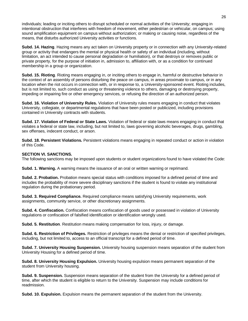individuals; leading or inciting others to disrupt scheduled or normal activities of the University; engaging in intentional obstruction that interferes with freedom of movement, either pedestrian or vehicular, on campus; using sound amplification equipment on campus without authorization; or making or causing noise, regardless of the means, that disturbs authorized University activities or functions.

**Subd. 14. Hazing**. Hazing means any act taken on University property or in connection with any University-related group or activity that endangers the mental or physical health or safety of an individual (including, without limitation, an act intended to cause personal degradation or humiliation), or that destroys or removes public or private property, for the purpose of initiation in, admission to, affiliation with, or as a condition for continued membership in a group or organization.

**Subd. 15. Rioting**. Rioting means engaging in, or inciting others to engage in, harmful or destructive behavior in the context of an assembly of persons disturbing the peace on campus, in areas proximate to campus, or in any location when the riot occurs in connection with, or in response to, a University-sponsored event. Rioting includes, but is not limited to, such conduct as using or threatening violence to others, damaging or destroying property, impeding or impairing fire or other emergency services, or refusing the direction of an authorized person.

**Subd. 16. Violation of University Rules.** Violation of University rules means engaging in conduct that violates University, collegiate, or departmental regulations that have been posted or publicized, including provisions contained in University contracts with students.

**Subd. 17. Violation of Federal or State Laws.** Violation of federal or state laws means engaging in conduct that violates a federal or state law, including, but not limited to, laws governing alcoholic beverages, drugs, gambling, sex offenses, indecent conduct, or arson.

**Subd. 18. Persistent Violations.** Persistent violations means engaging in repeated conduct or action in violation of this Code.

### **SECTION VI. SANCTIONS.**

The following sanctions may be imposed upon students or student organizations found to have violated the Code:

**Subd. 1. Warning.** A warning means the issuance of an oral or written warning or reprimand.

**Subd. 2. Probation.** Probation means special status with conditions imposed for a defined period of time and includes the probability of more severe disciplinary sanctions if the student is found to violate any institutional regulation during the probationary period.

**Subd. 3. Required Compliance.** Required compliance means satisfying University requirements, work assignments, community service, or other discretionary assignments.

**Subd. 4. Confiscation.** Confiscation means confiscation of goods used or possessed in violation of University regulations or confiscation of falsified identification or identification wrongly used.

**Subd. 5. Restitution**. Restitution means making compensation for loss, injury, or damage.

**Subd. 6. Restriction of Privileges.** Restriction of privileges means the denial or restriction of specified privileges, including, but not limited to, access to an official transcript for a defined period of time.

**Subd. 7. University Housing Suspension.** University housing suspension means separation of the student from University Housing for a defined period of time.

**Subd. 8. University Housing Expulsion.** University housing expulsion means permanent separation of the student from University housing.

**Subd. 9. Suspension.** Suspension means separation of the student from the University for a defined period of time, after which the student is eligible to return to the University. Suspension may include conditions for readmission.

**Subd. 10. Expulsion.** Expulsion means the permanent separation of the student from the University.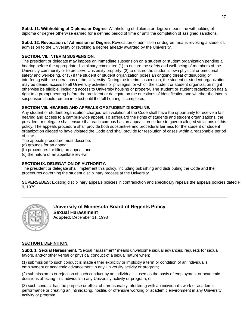**Subd. 11. Withholding of Diploma or Degree.** Withholding of diploma or degree means the withholding of diploma or degree otherwise earned for a defined period of time or until the completion of assigned sanctions.

**Subd. 12. Revocation of Admission or Degree.** Revocation of admission or degree means revoking a student's admission to the University or revoking a degree already awarded by the University.

### **SECTION. VII. INTERIM SUSPENSION.**

The president or delegate may impose an immediate suspension on a student or student organization pending a hearing before the appropriate disciplinary committee (1) to ensure the safety and well-being of members of the University community or to preserve University property, (2) to ensure the student's own physical or emotional safety and well-being, or (3) if the student or student organization poses an ongoing threat of disrupting or interfering with the operations of the University. During the interim suspension, the student or student organization may be denied access to all University activities or privileges for which the student or student organization might otherwise be eligible, including access to University housing or property. The student or student organization has a right to a prompt hearing before the president or delegate on the questions of identification and whether the interim suspension should remain in effect until the full hearing is completed.

### **SECTION VIII. HEARING AND APPEALS OF STUDENT DISCIPLINE.**

Any student or student organization charged with violation of the Code shall have the opportunity to receive a fair hearing and access to a campus-wide appeal. To safeguard the rights of students and student organizations, the president or delegate shall ensure that each campus has an appeals procedure to govern alleged violations of this policy. The appeals procedure shall provide both substantive and procedural fairness for the student or student organization alleged to have violated the Code and shall provide for resolution of cases within a reasonable period of time.

The appeals procedure must describe:

(a) grounds for an appeal;

(b) procedures for filing an appeal; and

(c) the nature of an appellate review.

### **SECTION IX. DELEGATION OF AUTHORITY.**

The president or delegate shall implement this policy, including publishing and distributing the Code and the procedures governing the student disciplinary process at the University.

**SUPERSEDES:** Existing disciplinary appeals policies in contradiction and specifically repeals the appeals policies dated F 9, 1979.



**University of Minnesota Board of Regents Policy Sexual Harassment Adopted:** December 11, 1998

### **SECTION I. DEFINITION.**

**Subd. 1. Sexual Harassment.** "Sexual harassment" means unwelcome sexual advances, requests for sexual favors, and/or other verbal or physical conduct of a sexual nature when:

(1) submission to such conduct is made either explicitly or implicitly a term or condition of an individual's employment or academic advancement in any University activity or program;

(2) submission to or rejection of such conduct by an individual is used as the basis of employment or academic decisions affecting this individual in any University activity or program; or

(3) such conduct has the purpose or effect of unreasonably interfering with an individual's work or academic performance or creating an intimidating, hostile, or offensive working or academic environment in any University activity or program.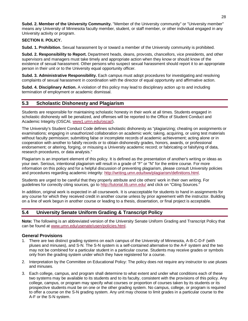**Subd. 2. Member of the University Community.** "Member of the University community" or "University member" means any University of Minnesota faculty member, student, or staff member, or other individual engaged in any University activity or program.

### **SECTION II. POLICY.**

**Subd. 1. Prohibition.** Sexual harassment by or toward a member of the University community is prohibited.

**Subd. 2. Responsibility to Report.** Department heads, deans, provosts, chancellors, vice presidents, and other supervisors and managers must take timely and appropriate action when they know or should know of the existence of sexual harassment. Other persons who suspect sexual harassment should report it to an appropriate person in their unit or to the University equal opportunity officer.

**Subd. 3. Administrative Responsibility.** Each campus must adopt procedures for investigating and resolving complaints of sexual harassment in coordination with the director of equal opportunity and affirmative action.

**Subd. 4. Disciplinary Action.** A violation of this policy may lead to disciplinary action up to and including termination of employment or academic dismissal.

### **5.3 Scholastic Dishonesty and Plagiarism**

Students are responsible for maintaining scholastic honesty in their work at all times. Students engaged in scholastic dishonesty will be penalized, and offenses will be reported to the Office of Student Conduct and Academic Integrity (OSCAI, www1.umn.edu/oscai/).

The University's Student Conduct Code defines scholastic dishonesty as "plagiarizing; cheating on assignments or examinations; engaging in unauthorized collaboration on academic work; taking, acquiring, or using test materials without faculty permission; submitting false or incomplete records of academic achievement; acting alone or in cooperation with another to falsify records or to obtain dishonestly grades, honors, awards, or professional endorsement; or altering, forging, or misusing a University academic record; or fabricating or falsifying of data, research procedures, or data analysis."

Plagiarism is an important element of this policy. It is defined as the presentation of another's writing or ideas as your own. Serious, intentional plagiarism will result in a grade of "F" or "N" for the entire course. For more information on this policy and for a helpful discussion of preventing plagiarism, please consult University policies and procedures regarding academic integrity: <http://writing.umn.edu/tww/plagiarism/definitions.html>.

Students are urged to be careful that they properly attribute and cite others' work in their own writing. For guidelines for correctly citing sources, go to <http://tutorial.lib.umn.edu/> and click on "Citing Sources."

In addition, original work is expected in all coursework. It is unacceptable for students to hand in assignments for any course for which they received credit in another course unless by prior agreement with the instructor. Building on a line of work begun in another course or leading to a thesis, dissertation, or final project is acceptable.

### **5.4 University Senate Uniform Grading & Transcript Policy**

**Note:** The following is an abbreviated version of the University Senate Uniform Grading and Transcript Policy that can be found at [www.umn.edu/usenate/usen/policies.html.](http://www.umn.edu/usenate/usen/policies.html)

### **General Provisions**

- 1. There are two distinct grading systems on each campus of the University of Minnesota, A-B-C-D-F (with pluses and minuses), and S-N. The S-N system is a self-contained alternative to the A-F system and the two may not be combined for a particular student in a particular course. Students may receive grades or symbols only from the grading system under which they have registered for a course.
- 2. Interpretation by the Committee on Educational Policy: The policy does not require any instructor to use pluses and minuses.
- 3. Each college, campus, and program shall determine to what extent and under what conditions each of these two systems may be available to its students and to its faculty, consistent with the provisions of this policy. Any college, campus, or program may specify what courses or proportion of courses taken by its students or its prospective students must be on one or the other grading system. No campus, college, or program is required to offer a course on the S-N grading system. Any unit may choose to limit grades in a particular course to the A-F or the S-N system.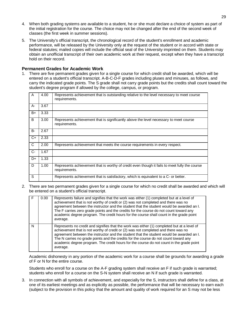- 4. When both grading systems are available to a student, he or she must declare a choice of system as part of the initial registration for the course. The choice may not be changed after the end of the second week of classes (the first week in summer sessions).
- 5. The University's official transcript, the chronological record of the student's enrollment and academic performance, will be released by the University only at the request of the student or in accord with state or federal statutes; mailed copies will include the official seal of the University imprinted on them. Students may obtain an unofficial transcript of their own academic work at their request, except when they have a transcript hold on their record.

### **Permanent Grades for Academic Work**

1. There are five permanent grades given for a single course for which credit shall be awarded, which will be entered on a student's official transcript. A-B-C-D-F grades including pluses and minuses, as follows, and carry the indicated grade points. The S grade shall not carry grade points but the credits shall count toward the student's degree program if allowed by the college, campus, or program.

| $\mathsf{A}$ | 4.00 | Represents achievement that is outstanding relative to the level necessary to meet course<br>requirements.     |
|--------------|------|----------------------------------------------------------------------------------------------------------------|
| $A -$        | 3.67 |                                                                                                                |
| $B+$         | 3.33 |                                                                                                                |
| B            | 3.00 | Represents achievement that is significantly above the level necessary to meet course<br>requirements.         |
| B-           | 2.67 |                                                                                                                |
| $C+$         | 2.33 |                                                                                                                |
| C            | 2.00 | Represents achievement that meets the course requirements in every respect.                                    |
| $C-$         | 1.67 |                                                                                                                |
| D+           | 1.33 |                                                                                                                |
| D            | 1.00 | Represents achievement that is worthy of credit even though it fails to meet fully the course<br>requirements. |
| S            |      | Represents achievement that is satisfactory, which is equivalent to a C- or better.                            |

2. There are two permanent grades given for a single course for which no credit shall be awarded and which will be entered on a student's official transcript.

|              | 0.00 | Represents failure and signifies that the work was either (1) completed but at a level of<br>achievement that is not worthy of credit or (2) was not completed and there was no<br>agreement between the instructor and the student that the student would be awarded an I.<br>The F carries zero grade points and the credits for the course do not count toward any<br>academic degree program. The credit hours for the course shall count in the grade point<br>average.  |
|--------------|------|-------------------------------------------------------------------------------------------------------------------------------------------------------------------------------------------------------------------------------------------------------------------------------------------------------------------------------------------------------------------------------------------------------------------------------------------------------------------------------|
| $\mathsf{N}$ |      | Represents no credit and signifies that the work was either (1) completed but at a level of<br>achievement that is not worthy of credit or (2) was not completed and there was no<br>agreement between the instructor and the student that the student would be awarded an I.<br>The N carries no grade points and the credits for the course do not count toward any<br>academic degree program. The credit hours for the course do not count in the grade point<br>average. |

Academic dishonesty in any portion of the academic work for a course shall be grounds for awarding a grade of F or N for the entire course.

Students who enroll for a course on the A-F grading system shall receive an F if such grade is warranted; students who enroll for a course on the S-N system shall receive an N if such grade is warranted.

3. In connection with all symbols of achievement, and especially for the S, instructors shall define for a class, at one of its earliest meetings and as explicitly as possible, the performance that will be necessary to earn each (subject to the provision in this policy that the amount and quality of work required for an S may not be less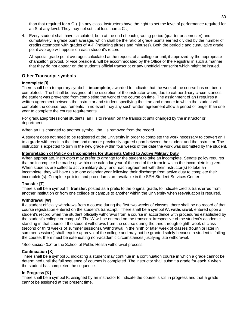than that required for a C-). [In any class, instructors have the right to set the level of performance required for an S at any level. They may not set it at less than a C-.]

4. Every student shall have calculated, both at the end of each grading period (quarter or semester) and cumulatively, a grade point average, which shall be the ratio of grade points earned divided by the number of credits attempted with grades of A-F (including pluses and minuses). Both the periodic and cumulative grade point average will appear on each student's record.

All special grade point averages calculated at the request of a college or unit, if approved by the appropriate chancellor, provost, or vice president, will be accommodated by the Office of the Registrar in such a manner that they do not appear on the student's official transcript or any unofficial transcript which might be issued.

### **Other Transcript symbols**

### **Incomplete [I]**

There shall be a temporary symbol I, **incomplete**, awarded to indicate that the work of the course has not been completed. The I shall be assigned at the discretion of the instructor when, due to extraordinary circumstances, the student was prevented from completing the work of the course on time. The assignment of an I requires a written agreement between the instructor and student specifying the time and manner in which the student will complete the course requirements. In no event may any such written agreement allow a period of longer than one year to complete the course requirements.

For graduate/professional students, an I is to remain on the transcript until changed by the instructor or department.

When an I is changed to another symbol, the I is removed from the record.

A student does not need to be registered at the University in order to complete the work necessary to convert an I to a grade with credit in the time and manner previously agreed upon between the student and the instructor. The instructor is expected to turn in the new grade within four weeks of the date the work was submitted by the student.

### **Interpretation of Policy on Incompletes for Students Called to Active Military Duty**

When appropriate, instructors may prefer to arrange for the student to take an incomplete. Senate policy requires that an incomplete be made up within one calendar year of the end of the term in which the incomplete is given. When students are called to active military duty, and reach agreement with their instructor(s) to take an incomplete, they will have up to one calendar year following their discharge from active duty to complete their incomplete(s). Complete policies and procedures are available in the SPH Student Services Center.

### **Transfer [T]**

There shall be a symbol T, **transfer**, posted as a prefix to the original grade, to indicate credits transferred from another institution or from one college or campus to another within the University when reevaluation is required.

### **Withdrawal [W]**

If a student officially withdraws from a course during the first two weeks of classes, there shall be no record of that course registration entered on the student's transcript. There shall be a symbol W, **withdrawal**, entered upon a student's record when the student officially withdraws from a course in accordance with procedures established by the student's college or campus\*. The W will be entered on the transcript irrespective of the student's academic standing in that course if the student withdraws from the course during the third through eighth week of class (second or third weeks of summer sessions). Withdrawal in the ninth or later week of classes (fourth or later in summer sessions) shall require approval of the college and may not be granted solely because a student is failing the course; there must be extenuating non-academic circumstances justifying late withdrawal.

\*See *section 3.3* for the School of Public Health withdrawal process.

### **Continuation [X]**

There shall be a symbol X, indicating a student may continue in a continuation course in which a grade cannot be determined until the full sequence of courses is completed. The instructor shall submit a grade for each X when the student has completed the sequence.

### **In Progress [K]**

There shall be a symbol K, assigned by an instructor to indicate the course is still in progress and that a grade cannot be assigned at the present time.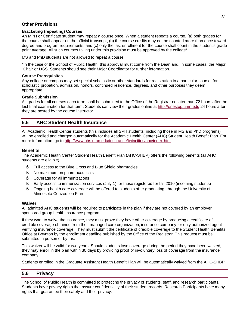### **Other Provisions**

### **Bracketing (repeating) Courses**

An MPH or Certificate student may repeat a course once. When a student repeats a course, (a) both grades for the course shall appear on the official transcript, (b) the course credits may not be counted more than once toward degree and program requirements, and (c) only the last enrollment for the course shall count in the student's grade point average. All such courses falling under this provision must be approved by the college\*.

MS and PhD students are not allowed to repeat a course.

\*In the case of the School of Public Health, this approval must come from the Dean and, in some cases, the Major Chair or DGS. Students should see their Major Coordinator for further information.

### **Course Prerequisites**

Any college or campus may set special scholastic or other standards for registration in a particular course, for scholastic probation, admission, honors, continued residence, degrees, and other purposes they deem appropriate.

### **Grade Submission**

All grades for all courses each term shall be submitted to the Office of the Registrar no later than 72 hours after the last final examination for that term. Students can view their grades online at <http://onestop.umn.edu> 24 hours after they are posted by the course instructor.

### **5.5 AHC Student Health Insurance**

All Academic Health Center students (this includes all SPH students, including those in MS and PhD programs) will be enrolled and charged automatically for the Academic Health Center (AHC) Student Health Benefit Plan. For more information, go to [http://www.bhs.umn.edu/insurance/twincities/ahc/index.htm.](http://www.bhs.umn.edu/insurance/twincities/ahc/index.htm)

### **Benefits**

The Academic Health Center Student Health Benefit Plan (AHC-SHBP) offers the following benefits (all AHC students are eligible):

- § Full access to the Blue Cross and Blue Shield pharmacies
- § No maximum on pharmaceuticals
- § Coverage for all immunizations
- § Early access to immunization services (July 1) for those registered for fall 2010 (incoming students)
- § Ongoing health care coverage will be offered to students after graduating, through the University of Minnesota Conversion Plan

### **Waiver**

All admitted AHC students will be required to participate in the plan if they are not covered by an employer sponsored group health insurance program.

If they want to waive the insurance, they must prove they have other coverage by producing a certificate of credible coverage obtained from their managed care organization, insurance company, or duly authorized agent verifying insurance coverage. They must submit the certificate of credible coverage to the Student Health Benefits Office at Boynton by the enrollment deadline published by the Office of the Registrar. This request must be submitted in person or by fax.

This waiver will be valid for two years. Should students lose coverage during the period they have been waived, they may enroll in the plan within 30 days by providing proof of involuntary loss of coverage from the insurance company.

Students enrolled in the Graduate Assistant Health Benefit Plan will be automatically waived from the AHC-SHBP.

### **5.6 Privacy**

The School of Public Health is committed to protecting the privacy of students, staff, and research participants. Students have privacy rights that assure confidentiality of their student records. Research Participants have many rights that guarantee their safety and their privacy.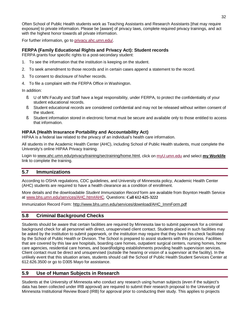Often School of Public Health students work as Teaching Assistants and Research Assistants [that may require exposure] to private information. Please be [aware] of privacy laws, complete required privacy trainings, and act with the highest honor towards all private information.

For further information, go to privacy.ahc.umn.edu/.

### **FERPA (Family Educational Rights and Privacy Act): Student records**

FERPA grants four specific rights to a post-secondary student:

- 1. To see the information that the institution is keeping on the student.
- 2. To seek amendment to those records and in certain cases append a statement to the record.
- 3. To consent to disclosure of his/her records.
- 4. To file a complaint with the FERPA Office in Washington.

In addition:

- § U of MN Faculty and Staff have a legal responsibility, under FERPA, to protect the confidentiality of your student educational records.
- § Student educational records are considered confidential and may not be released without written consent of the student.
- § Student information stored in electronic format must be secure and available only to those entitled to access that information.

### **HIPAA (Health Insurance Portability and Accountability Act)**

HIPAA is a federal law related to the privacy of an individual's health care information.

All students in the Academic Health Center (AHC), including School of Public Health students, must complete the University's online HIPAA Privacy training.

Login to [www.ahc.umn.edu/privacy/training/sectraining/home.html](http://www.ahc.umn.edu/privacy/training/sectraining/home.html), click on myU.umn.edu and select **my Worklife** link to complete the training.

### **5.7 Immunizations**

According to OSHA regulations, CDC guidelines, and University of Minnesota policy, Academic Health Center (AHC) students are required to have a health clearance as a condition of enrollment.

More details and the downloadable *Student Immunization Record* form are available from Boynton Health Service at [www.bhs.umn.edu/services/AHC.htm#AHC](http://www.bhs.umn.edu/services/AHC.htm#AHC). Questions: **Call 612-625-3222**

Immunization Record Form: [http://www.bhs.umn.edu/services/download/AHC\\_ImmForm.pdf](http://www.bhs.umn.edu/services/download/AHC_ImmForm.pdf)

### **5.8 Criminal Background Checks**

Students should be aware that certain facilities are required by Minnesota law to submit paperwork for a criminal background check for all personnel with direct, unsupervised client contact. Students placed in such facilities may be asked by the institution to submit paperwork, or the institution may require that they have this check facilitated by the School of Public Health or Division. The School is prepared to assist students with this process. Facilities that are covered by this law are hospitals, boarding care homes, outpatient surgical centers, nursing homes, home care agencies, residential care homes, and board/lodging establishments providing health supervision services. Client contact must be direct and unsupervised (outside the hearing or vision of a supervisor at the facility). In the unlikely event that this situation arises, students should call the School of Public Health Student Services Center at 612.626.3500 or go to D305 Mayo for assistance.

### **5.9 Use of Human Subjects in Research**

Students at the University of Minnesota who conduct any research using human subjects (even if the subject's data has been collected under IRB approval) are required to submit their research proposal to the University of Minnesota Institutional Review Board (IRB) for approval prior to conducting their study. This applies to projects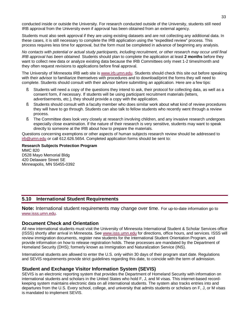conducted inside or outside the University. For research conducted outside of the University, students still need IRB approval from the University even if approval has been obtained from an external agency.

Students must also seek approval if they are using existing datasets and are not collecting any additional data. In these cases, it is still necessary to complete the IRB application using the "expedited review" process. This process requires less time for approval, but the form must be completed in advance of beginning any analysis.

No contacts with potential or actual study participants, including recruitment, or other research may occur until final *IRB approval has been obtained.* Students should plan to complete the application at least **2 months** before they want to collect new data or analyze existing data because the IRB Committees only meet 1-2 times/month and they often request revisions to applications before final approval.

The University of Minnesota IRB web site is [www.irb.umn.edu.](http://www.irb.umn.edu) Students should check this site out before speaking with their advisor to familiarize themselves with procedures and to download/print the forms they will need to complete. Students should consult with their advisor before submitting an application. Here are a few tips:

- § Students will need a copy of the questions they intend to ask, their protocol for collecting data, as well as a consent form, if necessary. If students will be using participant recruitment materials (letters, advertisements, etc.), they should provide a copy with the application.
- § Students should consult with a faculty member who does similar work about what kind of review procedures they will have to go through. Students can also talk to fellow students who recently went through a review process.
- § The Committee does look very closely at research involving children, and any invasive research undergoes especially close examination. If the nature of their research is very sensitive, students may want to speak directly to someone at the IRB about how to prepare the materials.

Questions concerning exemptions or other aspects of human subjects research review should be addressed to [irb@umn.edu](mailto:irb@umn.edu) or call 612.626.5654. Completed application forms should be sent to:

**Research Subjects Protection Program**  MMC 820 D528 Mayo Memorial Bldg 420 Delaware Street SE Minneapolis, MN 55455-0392

### **5.10 International Student Requirements**

**Note:** International student requirements may change over time. For up-to-date information go to [www.isss.umn.edu.](http://www.isss.umn.edu)

### **Document Check and Orientation**

All new international students must visit the University of Minnesota International Student & Scholar Services office (ISSS) shortly after arrival in Minnesota. See [www.isss.umn.edu](http://www.isss.umn.edu) for directions, office hours, and services. ISSS will review immigration documents, register new students for the International Student Orientation Program, and provide information on how to release registration holds. These processes are mandated by the Department of Homeland Security (DHS); formerly known as Immigration and Naturalization Service (INS).

International students are allowed to enter the U.S. only within 30 days of their program start date. Regulations and SEVIS requirements provide strict guidelines regarding this date, to coincide with the term of admission.

### **Student and Exchange Visitor Information System (SEVIS)**

SEVIS is an electronic reporting system that provides the Department of Homeland Security with information on international students and scholars in the United States who hold F, J, and M visas. This internet-based recordkeeping system maintains electronic data on all international students. The system also tracks entries into and departures from the U.S. Every school, college, and university that admits students or scholars on F, J, or M visas is mandated to implement SEVIS.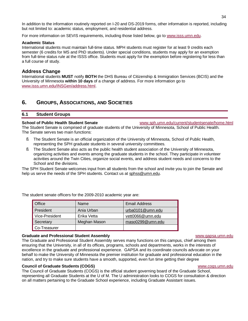In addition to the information routinely reported on I-20 and DS-2019 forms, other information is reported, including but not limited to: academic status, employment, and residential address.

For more information on SEVIS requirements, including those listed below, go to [www.isss.umn.edu](http://www.isss.umn.edu).

### **Academic Status**

International students must maintain full-time status. MPH students must register for at least 9 credits each semester (6 credits for MS and PhD students). Under special conditions, students may apply for an exemption from full-time status rule at the ISSS office. Students must apply for the exemption before registering for less than a full course of study.

### **Address Change**

International students **MUST** notify **BOTH** the DHS Bureau of Citizenship & Immigration Services (BCIS) and the University of Minnesota **within 10 days** of a change of address. For more information go to [www.isss.umn.edu/INSGen/address.html.](http://www.isss.umn.edu/INSGen/address.html)

### **6. GROUPS, ASSOCIATIONS, AND SOCIETIES**

### **6.1 Student Groups**

**School of Public Health Student Senate** [www.sph.umn.edu/current/studentsenate/home.html](http://www.sph.umn.edu/current/studentsenate/home.html)

The Student Senate is comprised of graduate students of the University of Minnesota, School of Public Health. The Senate serves two main functions:

- § The Student Senate is an official organization of the University of Minnesota, School of Public Health, representing the SPH graduate students in several university committees.
- § The Student Senate also acts as the public health student association of the University of Minnesota, organizing activities and events among the graduate students in the school. They participate in volunteer activities around the Twin Cities, organize social events, and address student needs and concerns to the School and the divisions.

The SPH Student Senate welcomes input from all students from the school and invite you to join the Senate and help us serve the needs of the SPH students. Contact us at [sphss@umn.edu.](mailto:sphss@umn.edu)

| Office         | Name         | <b>Email Address</b> |
|----------------|--------------|----------------------|
| President      | Ania Urban   | urba0101@umn.edu     |
| Vice-President | Erika Vetta  | vett0066@umn.edu     |
| Secretary      | Meghan Mason | maso0299@umn.edu     |
| Co-Treasurer   |              |                      |

The student senate officers for the 2009-2010 academic year are:

### **Graduate and Professional Student Assembly** [www.gapsa.umn.edu](http://www.gapsa.umn.edu)

The Graduate and Professional Student Assembly serves many functions on this campus, chief among them ensuring that the University, in all of its offices, programs, schools and departments, works in the interests of excellence in the graduate and professional experience. GAPSA and its coordinate councils advocate on your behalf to make the University of Minnesota the premier institution for graduate and professional education in the nation, and try to make sure students have a smooth, supported, even fun time getting their degree

### **Council of Graduate Students (COGS)** [www.cogs.umn.edu](http://www.cogs.umn.edu)

The Council of Graduate Students (COGS) is the official student governing board of the Graduate School, representing all Graduate Students at the U of M. The U administration looks to COGS for consultation & direction on all matters pertaining to the Graduate School experience, including Graduate Assistant issues.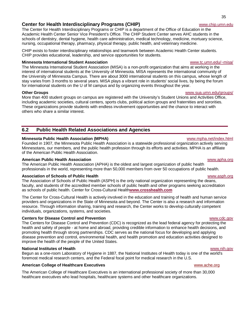### **Center for Health Interdisciplinary Programs (CHIP)** [www.chip.umn.edu](http://www.chip.umn.edu)

The Center for Health Interdisciplinary Programs or CHIP is a department of the Office of Education in the Academic Health Center Senior Vice President's Office. The CHIP Student Center serves AHC students in the schools of dentistry, dental hygiene, health care administration, medical technology, medicine, mortuary science, nursing, occupational therapy, pharmacy, physical therapy, public health, and veterinary medicine.

CHIP exists to foster interdisciplinary relationships and teamwork between Academic Health Center students. CHIP provides educational, leadership, and service opportunities for students.

### **Minnesota International Student Association** [www.tc.umn.edu/~misa/](http://www.tc.umn.edu/~misa/)

The Minnesota International Student Association (MISA) is a non-profit organization that aims at working in the interest of international students at the University of Minnesota. MISA represents the international community of the University of Minnesota Campus. There are about 3000 international students on this campus, whose length of stay varies from 3 months to several years. MISA plays a vibrant role in students' social lives, by being the forum for international students on the U of M campus and by organizing events throughout the year.

More than 400 student groups on campus are registered with the University's Student Unions and Activities Office, including academic societies, cultural centers, sports clubs, political action groups and fraternities and sororities. These organizations provide students with endless involvement opportunities and the chance to interact with others who share a similar interest.

### **6.2 Public Health Related Associations and Agencies**

### **Minnesota Public Health Association (MPHA)** [www.mpha.net/index.html](http://www.mpha.net/index.html)

Founded in 1907, the Minnesota Public Health Association is a statewide professional organization actively serving Minnesotans, our members, and the public health profession through its efforts and activities. MPHA is an affiliate of the American Public Health Association.

### **American Public Health Association** [www.apha.org](http://www.apha.org)

The American Public Health Association (APHA) is the oldest and largest organization of public health professionals in the world, representing more than 50,000 members from over 50 occupations of public health.

### **Association of Schools of Public Health** [www.asph.org](http://www.asph.org)

The Association of Schools of Public Health (ASPH) is the only national organization representing the deans, faculty, and students of the accredited member schools of public health and other programs seeking accreditation as schools of public health. Center for Cross-Cultural Health **[www.crosshealth.com](http://www.crosshealth.com)**

The Center for Cross-Cultural Health is actively involved in the education and training of health and human service providers and organizations in the State of Minnesota and beyond. The Center is also a research and information resource. Through information sharing, training and research, the Center works to develop culturally competent individuals, organizations, systems, and societies.

### **Centers for Disease Control and Prevention** [www.cdc.gov](http://www.cdc.gov)

The Centers for Disease Control and Prevention (CDC) is recognized as the lead federal agency for protecting the health and safety of people - at home and abroad, providing credible information to enhance health decisions, and promoting health through strong partnerships. CDC serves as the national focus for developing and applying disease prevention and control, environmental health, and health promotion and education activities designed to improve the health of the people of the United States.

### **National Institutes of Health** [www.nih.gov](http://www.nih.gov)

Begun as a one-room Laboratory of Hygiene in 1887, the National Institutes of Health today is one of the world's foremost medical research centers, and the Federal focal point for medical research in the U.S.

### **American College of Healthcare Executives <b>by the College of Healthcare Executives WWW.ache.org**

The American College of Healthcare Executives is an international professional society of more than 30,000 healthcare executives who lead hospitals, healthcare systems and other healthcare organizations.

### **Other Groups** [www.sua.umn.edu/groups/](http://www.sua.umn.edu/groups/)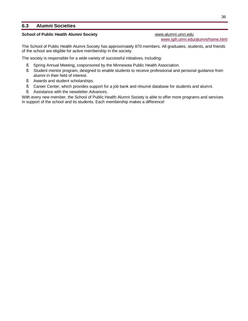### **6.3 Alumni Societies**

### **School of Public Health Alumni Society <b>WWW.alumni.umn.edu [www.alumni.umn.edu](http://www.alumni.umn.edu)**

[www.sph.umn.edu/alumni/home.html](http://www.sph.umn.edu/alumni/home.html)

The School of Public Health Alumni Society has approximately 870 members. All graduates, students, and friends of the school are eligible for active membership in the society.

The society is responsible for a wide variety of successful initiatives, including:

- § Spring Annual Meeting, cosponsored by the Minnesota Public Health Association.
- § Student mentor program, designed to enable students to receive professional and personal guidance from alumni in their field of interest.
- § Awards and student scholarships.
- § Career Center, which provides support for a job bank and résumé database for students and alumni.
- § Assistance with the newsletter *Advances*.

With every new member, the School of Public Health Alumni Society is able to offer more programs and services in support of the school and its students. Each membership makes a difference!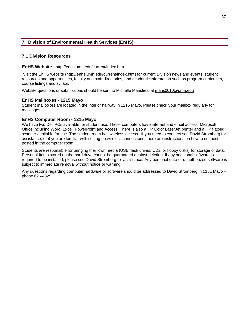# **7. Division of Environmental Health Services (EnHS)**

## **7.1 Division Resources**

### **EnHS Website** - <http://enhs.umn.edu/current/index.htm>

Visit the EnHS website [\(http://enhs.umn.edu/current/index.htm\)](http://enhs.umn.edu/current/index.htm) for current Division news and events, student resources and opportunities, faculty and staff directories, and academic information such as program curriculum, course listings and syllabi.

Website questions or submissions should be sent to Michelle Mansfield at mans0010@umn.edu

### **EnHS Mailboxes - 1215 Mayo**

Student mailboxes are located in the interior hallway in 1215 Mayo. Please check your mailbox regularly for messages.

### **EnHS Computer Room - 1215 Mayo**

We have two Dell PCs available for student use. These computers have internet and email access, Microsoft Office including Word, Excel, PowerPoint and Access. There is also a HP Color LaserJet printer and a HP flatbed scanner available for use. The student room has wireless access– if you need to connect see David Stromberg for assistance, or if you are familiar with setting up wireless connections, there are instructions on how to connect posted in the computer room.

Students are responsible for bringing their own media (USB flash drives, CDs, or floppy disks) for storage of data. Personal items stored on the hard drive cannot be guaranteed against deletion. If any additional software is required to be installed, please see David Stromberg for assistance. Any personal data or unauthorized software is subject to immediate removal without notice or warning.

Any questions regarding computer hardware or software should be addressed to David Stromberg in 1151 Mayo – phone 626-4825.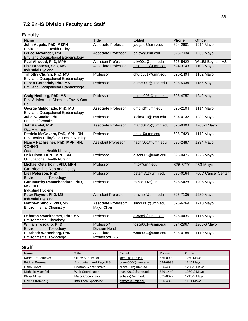# **7.2 EnHS Division Faculty and Staff**

# **Faculty**

| <b>Name</b>                                      | <b>Title</b>               | E-Mail           | <b>Phone</b> | <b>Office</b>      |
|--------------------------------------------------|----------------------------|------------------|--------------|--------------------|
| John Adgate, PhD, MSPH                           | Associate Professor        | jadgate@umn.edu  | 624-2601     | 1214 Mayo          |
| <b>Environmental Health Policy</b>               |                            |                  |              |                    |
| <b>Bruce Alexander, PhD</b>                      | Associate Professor        | balex@umn.edu    | 625-7934     | 1239 Mayo          |
| Env. and Occupational Epidemiology               |                            |                  |              |                    |
| Paul Allwood, PhD, MPH                           | <b>Assistant Professor</b> | allw001@umn.edu  | 625-5422     | W-158 Boynton HS   |
| Lisa Brosseau, ScD, MS<br>Industrial Hygiene     | <b>Associate Professor</b> | brosseau@umn.edu | 624-3143     | <b>1108 Mayo</b>   |
| <b>Timothy Church, PhD, MS</b>                   | Professor                  | churc001@umn.edu | 626-1494     | 1162 Mayo          |
| Env. and Occupational Epidemiology               |                            |                  |              |                    |
| <b>Susan Gerberich, PhD, MS</b>                  | Professor                  | gerbe001@umn.edu | 625-5934     | 1156 Mayo          |
| Env. and Occupational Epidemiology               |                            |                  |              |                    |
|                                                  |                            |                  |              |                    |
| Craig Hedberg, PhD, MS                           | Professor                  | hedbe005@umn.edu | 626-4757     | 1242 Mayo          |
| Env. & Infectious Diseases/Env. & Occ.           |                            |                  |              |                    |
| Epi                                              |                            |                  |              |                    |
| George Maldonado, PhD, MS                        | <b>Associate Professor</b> | gmphd@umn.edu    | 626-2104     | <b>1114 Mayo</b>   |
| Env. and Occupational Epidemiology               |                            |                  |              |                    |
| Julie A. Jacko, PhD<br><b>Health Informatics</b> | Professor                  | jacko011@umn.edu | 624-0132     | 1232 Mayo          |
| <b>Jeff Mandel, PhD</b>                          | <b>Associate Professor</b> | mand0125@umn.edu | 626-9308     | 1260-4 Mayo        |
| Occ Medicine                                     |                            |                  |              |                    |
| Patricia McGovern, PhD, MPH, RN                  | Professor                  | pmcg@umn.edu     | 625-7429     | 1112 Mayo          |
| Env.Health Policy/Occ. Health Nursing            |                            |                  |              |                    |
| Nancy Nachreiner, PhD, MPH, RN,                  | <b>Assistant Professor</b> | nachr001@umn.edu | 625-2487     | 1234 Mayo          |
| <b>COHN-S</b>                                    |                            |                  |              |                    |
| <b>Occupational Health Nursing</b>               |                            |                  |              |                    |
| Deb Olson, DrPH, MPH, RN                         | Professor                  | olson002@umn.edu | 625-0476     | <b>1228 Mayo</b>   |
| Occupational Health Nursing                      |                            |                  |              |                    |
| Michael Osterholm, PhD, MPH                      | Professor                  | mto@umn.edu      | 626-6770     | 263 Mayo           |
| Ctr Infect Dis Res and Policy                    |                            |                  |              |                    |
| Lisa Peterson, PhD                               | Professor                  | peter431@umn.edu | 626-0164     | 760D Cancer Center |
| <b>Environmental Toxicology</b>                  |                            |                  |              |                    |
| Gurumurthy Ramachandran, PhD,<br>MS, CIH         | Professor                  | ramac002@umn.edu | 626-5428     | 1205 Mayo          |
| Industrial Hygiene                               |                            |                  |              |                    |
| Peter Raynor, PhD, MS                            | <b>Assistant Professor</b> | praynor@umn.edu  | 625-7135     | 1230 Mayo          |
| Industrial Hygiene                               |                            |                  |              |                    |
| <b>Matthew Simcik, PhD, MS</b>                   | Associate Professor/       | simci001@umn.edu | 626-6269     | 1210 Mayo          |
| <b>Environmental Chemistry</b>                   | Major Chair                |                  |              |                    |
|                                                  |                            |                  |              |                    |
| Deborah Swackhamer, PhD, MS                      | Professor                  | dswack@umn.edu   | 626-0435     | 1115 Mayo          |
| <b>Environmental Chemistry</b>                   |                            |                  |              |                    |
| <b>William Toscano, PhD</b>                      | Professor/                 | tosca001@umn.edu | 624-2967     | 1260-6 Mayo        |
| <b>Environmental Toxicology</b>                  | <b>Division Head</b>       |                  |              |                    |
| Elizabeth Wattenberg, PhD                        | Associate<br>Professor/DGS | watte004@umn.edu | 626-0184     | <b>1110 Mayo</b>   |
| <b>Environmental Toxicology</b>                  |                            |                  |              |                    |

# **Staff**

| <b>Name</b>            | <b>Title</b>              | E-mail           | <b>Phone</b> | <b>Office</b> |
|------------------------|---------------------------|------------------|--------------|---------------|
| Karen Brademeyer       | <b>Office Supervisor</b>  | kbrad@umn.edu    | 626-0900     | 1260 Mayo     |
| <b>Bridget Brennan</b> | Accountant and Payroll Sp | brenn006@umn.edu | 624-6993     | 1245 Mayo     |
| Debb Grove             | Division Administrator    | grove020@umn.ed  | 626-4803     | 1260-5 Mayo   |
| Michelle Mansfield     | Web Coordinator           | mans0010@umn.edu | 626-1440     | 1260-2 Mayo   |
| Khosi Nkosi            | <b>Major Coordinator</b>  | enhsss@umn.edu   | 625-0622     | 1215-2 Mayo   |
| David Stromberg        | Info Tech Specialist      | dstrom@umn.edu   | 626-4825     | 1151 Mayo     |
|                        |                           |                  |              |               |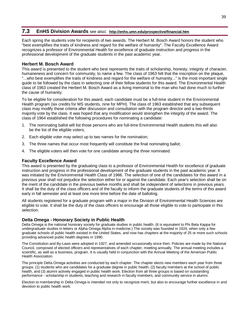# **7.3 EnHS Division Awards** see also**: <http://enhs.umn.edu/prospective/financial.htm>**

Each spring the students vote for recipients of two awards. The Herbert M. Bosch Award honors the student who "best exemplifies the traits of kindness and regard for the welfare of humanity". The Faculty Excellence Award recognizes a professor of Environmental Health for excellence of graduate instruction and progress in the professional development of the graduate students in the past academic year.

## **Herbert M. Bosch Award**

This award is presented to the student who best represents the traits of scholarship, honesty, integrity of character, humaneness and concern for community, to name a few. The class of 1963 felt that the inscription on the plaque, "...who best exemplifies the traits of kindness and regard for the welfare of humanity..." is the most important single guide to be followed by the class in selecting one of their fellow students for this award. The Environmental Health class of 1963 created the Herbert M. Bosch Award as a living memorial to the man who had done much to further the cause of humanity.

To be eligible for consideration for this award, each candidate must be a full-time student in the Environmental Health program (six credits for MS students, nine for MPH). The class of 1963 established that any subsequent class may modify these criteria after discussion and consultation with the program director and a two-thirds majority vote by the class. It was hoped that any modification would strengthen the integrity of the award. The class of 1964 established the following procedures for nominating a candidate:

- 1. The nominating ballot will list those persons who are full-time Environmental Health students this will also be the list of the eligible voters;
- 2. Each eligible voter may select up to two names for the nomination;
- 3. The three names that occur most frequently will constitute the final nominating ballot;
- 4. The eligible voters will then vote for one candidate among the three nominated.

## **Faculty Excellence Award**

This award is presented by the graduating class to a professor of Environmental Health for excellence of graduate instruction and progress in the professional development of the graduate students in the past academic year. It was initiated by the Environmental Health Class of 1966. The selection of one of the candidates for this award in a previous year shall not prejudice the selection either for or against the candidate. Each year's selection shall be on the merit of the candidate in the previous twelve months and shall be independent of selections in previous years. It shall be the duty of the class officers and of the faculty to inform the graduate students of the terms of this award early in fall semester and at least one more time before the date of balloting.

All students registered for a graduate program with a major in the Division of Environmental Health Sciences are eligible to vote. It shall be the duty of the class officers to encourage all those eligible to vote to participate in this selection.

## **Delta Omega - Honorary Society in Public Health**

Delta Omega is the national honorary society for graduate studies in public health. (It is equivalent to Phi Beta Kappa for undergraduate studies in letters or Alpha Omega Alpha in medicine.) The society was founded in 1924, when only a few graduate schools of public health existed in the United States, and now has chapters at the majority of 25 or more such schools providing advanced public health degrees in 1990.

The Constitution and By-Laws were adopted in 1927, and amended occasionally since then. Policies are made by the National Council, composed of elected officers and representatives of each chapter, meeting annually. The annual meeting includes a scientific, as well as a business, program. It is usually held in conjunction with the Annual Meeting of the American Public Health Association.

The principle Delta Omega activities are conducted by each chapter. The chapter elects new members each year from three groups: (1) students who are candidates for a graduate degree in public health, (2) faculty members at the school of public health, and (3) alumni actively engaged in public health work. Election from all three groups is based on outstanding performance - scholarship in students, teaching and research in faculty members, and community service in alumni.

Election to membership in Delta Omega is intended not only to recognize merit, but also to encourage further excellence in and devotion to public health work.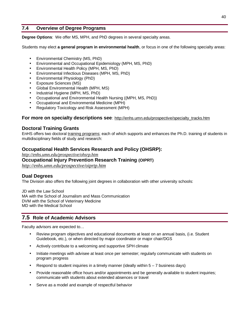# **7.4 Overview of Degree Programs**

**Degree Options**: We offer MS, MPH, and PhD degrees in several specialty areas.

Students may elect **a general program in environmental health**, or focus in one of the following specialty areas:

- Environmental Chemistry (MS, PhD)
- Environmental and Occupational Epidemiology (MPH, MS, PhD)
- Environmental Health Policy (MPH, MS, PhD)
- Environmental Infectious Diseases (MPH, MS, PhD)
- Environmental Physiology (PhD)
- Exposure Sciences (MS)
- Global Environmental Health (MPH, MS)
- Industrial Hygiene (MPH, MS, PhD)
- Occupational and Environmental Health Nursing ((MPH, MS, PhD))
- Occupational and Environmental Medicine (MPH)
- Regulatory Toxicology and Risk Assessment (MPH)

## **For more on specialty descriptions see**: [http://enhs.umn.edu/prospective/specialty\\_tracks.htm](http://enhs.umn.edu/prospective/specialty_tracks.htm)

# **Doctoral Training Grants**

EnHS offers two doctoral training programs; each of which supports and enhances the Ph.D. training of students in multidisciplinary fields of study and research:

# **Occupational Health Services Research and Policy (OHSRP):**

*<http://enhs.umn.edu/prospective/ohsrp.htm>*

## **Occupational Injury Prevention Research Training (OIPRT)**

*<http://enhs.umn.edu/prospective/oiprtp.htm>*

# **Dual Degrees**

The Division also offers the following joint degrees in collaboration with other university schools:

JD with the Law School MA with the School of Journalism and Mass Communication DVM with the School of Veterinary Medicine MD with the Medical School

# **7.5 Role of Academic Advisors**

Faculty advisors are expected to…

- Review program objectives and educational documents at least on an annual basis, (i.e. Student Guidebook, etc.), or when directed by major coordinator or major chair/DGS
- Actively contribute to a welcoming and supportive SPH climate
- Initiate meetings with advisee at least once per semester; regularly communicate with students on program progress
- Respond to student inquiries in a timely manner (ideally within  $5 7$  business days)
- Provide reasonable office hours and/or appointments and be generally available to student inquiries; communicate with students about extended absences or travel
- Serve as a model and example of respectful behavior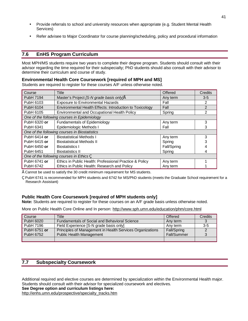- Provide referrals to school and university resources when appropriate (e.g. Student Mental Health Services)
- Refer advisee to Major Coordinator for course planning/scheduling, policy and procedural information

# **7.6 EnHS Program Curriculum**

Most MPH/MS students require two years to complete their degree program. Students should consult with their advisor regarding the time required for their subspecialty; PhD students should also consult with their advisor to determine their curriculum and course of study.

## **Environmental Health Core Coursework [required of MPH and MS]**

Students are required to register for these courses A/F unless otherwise noted.

| Course                                        | <b>Title</b>                                                        | Offered     | Credits        |  |  |  |
|-----------------------------------------------|---------------------------------------------------------------------|-------------|----------------|--|--|--|
| PubH 7194                                     | Master's Project [S-N grade basis only]•<br>Any term<br>$3 - 5$     |             |                |  |  |  |
| PubH 6103                                     | <b>Exposure to Environmental Hazards</b>                            | Fall        | 2              |  |  |  |
| PubH 6104                                     | Environmental Health Effects: Introduction to Toxicology            | Fall        | $\overline{2}$ |  |  |  |
| PubH 6105                                     | Environmental and Occupational Health Policy                        | 2<br>Spring |                |  |  |  |
|                                               | One of the following courses in Epidemiology                        |             |                |  |  |  |
| PubH 6320 or                                  | <b>Fundamentals of Epidemiology</b>                                 | Any term    | 3              |  |  |  |
| PubH 6341                                     | Epidemiologic Methods I<br>3<br>Fall                                |             |                |  |  |  |
| One of the following courses in Biostatistics |                                                                     |             |                |  |  |  |
| PubH 6414 or                                  | <b>Biostatistical Methods I</b>                                     | Any term    | 3              |  |  |  |
| PubH 6415 or                                  | <b>Biostatistical Methods II</b>                                    | Spring      | 3              |  |  |  |
| PubH 6450 or                                  | <b>Biostatistics I</b>                                              | Fall/Spring |                |  |  |  |
| PubH 6451                                     | <b>Biostatistics II</b>                                             | Spring      |                |  |  |  |
| One of the following courses in Ethics,       |                                                                     |             |                |  |  |  |
| PubH 6741 or                                  | Ethics in Public Health: Professional Practice & Policy<br>Any term |             |                |  |  |  |
| PubH 6742                                     | Ethics in Public Health: Research and Policy<br>Any term            |             |                |  |  |  |

•Cannot be used to satisfy the 30 credit minimum requirement for MS students.

'PubH 6741 is recommended for MPH students and 6742 for MS/PhD students (meets the Graduate School requirement for a Research Assistant)

# **Public Health Core Coursework [required of MPH students only]**

**Note:** Students are required to register for these courses on an A/F grade basis unless otherwise noted.

More on Public Health Core Online and In person:<http://www.sph.umn.edu/education/phm/core.html>

| Course       | Title                                                     | Offered     | Credits |
|--------------|-----------------------------------------------------------|-------------|---------|
| PubH 6020    | Fundamentals of Social and Behavioral Science             | Any term    |         |
| PubH 7196    | Field Experience [S-N grade basis only]                   | Any term    | $3-5$   |
| PubH 6751 or | Principles of Management in Health Services Organizations | Fall/Spring |         |
| PubH 6752    | <b>Public Health Management</b>                           | Fall/Summer |         |
|              |                                                           |             |         |

# **7.7 Subspecialty Coursework**

Additional required and elective courses are determined by specialization within the Environmental Health major. Students should consult with their advisor for specialized coursework and electives.

**See Degree option and curriculum listings here:** 

[http://enhs.umn.edu/prospective/specialty\\_tracks.htm](http://enhs.umn.edu/prospective/specialty_tracks.htm)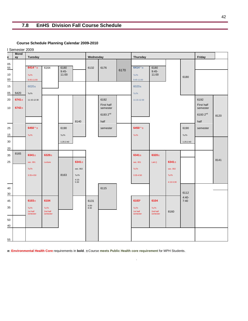# **7.8 EnHS Division Fall Course Schedule**

**Course Schedule Planning Calendar 2009-2010** 

|                 | I Semester 2009   |                              |                                     |                  |                 |                 |                        |      |                                     |                              |            |             |                        |      |
|-----------------|-------------------|------------------------------|-------------------------------------|------------------|-----------------|-----------------|------------------------|------|-------------------------------------|------------------------------|------------|-------------|------------------------|------|
| е               | <b>Mond</b><br>ay | <b>Tuesday</b>               |                                     | Wednesday        |                 |                 | <b>Thursday</b>        |      |                                     | Friday                       |            |             |                        |      |
| 05<br>55        |                   | $6414^a$ ±                   | 6164                                | 6180             |                 | 6132            | 6176                   |      | $6414^a \pm$                        | 6180                         |            |             |                        |      |
| 10              |                   | <b>TuTh</b>                  |                                     | $9:45-$<br>11:00 |                 |                 |                        | 6170 | TuTh                                | $9:45-$<br>11:00             |            |             |                        |      |
| 00              |                   | 9:45-11:00                   |                                     |                  |                 |                 |                        |      | 9:45-11:00                          |                              |            | 6180        |                        |      |
| 15              |                   | $6020 \pm$                   |                                     |                  |                 |                 |                        |      | $6020 \pm$                          |                              |            |             |                        |      |
| 05              | 6420              | TuTh                         |                                     |                  |                 |                 |                        |      | TuTh                                |                              |            |             |                        |      |
| 20              | $6741 \pm$        | 11:15-12:30                  |                                     |                  |                 |                 | 6192                   |      | 11:15-12:30                         |                              |            |             | 6192                   |      |
| 10              | $6742 \pm$        |                              |                                     |                  |                 |                 | First half<br>semester |      |                                     |                              |            |             | First half<br>semester |      |
|                 |                   |                              |                                     |                  |                 |                 | 6193 2 <sup>nd</sup>   |      |                                     |                              |            |             | 61932 <sup>nd</sup>    | 8120 |
|                 |                   |                              |                                     |                  | 8140            |                 | half                   |      |                                     |                              |            |             | half                   |      |
| 25              |                   | $6450^{\circ}$ ±             |                                     | 6190             |                 |                 | semester               |      | $6450^{\circ}$ ±                    |                              |            | 6190        | semester               |      |
| 15              |                   | <b>TuTh</b>                  |                                     | TuTh             |                 |                 |                        |      | TuTh                                |                              |            | TuTh        |                        |      |
| 30              |                   |                              |                                     | $1:25-2:40$      |                 |                 |                        |      |                                     |                              |            | $1:25-2:40$ |                        |      |
| $\overline{20}$ |                   |                              |                                     |                  |                 |                 |                        |      |                                     |                              |            |             |                        |      |
| 35              | 8165              | $6341 \pm$                   | 6320±                               |                  |                 |                 |                        |      | 6341 $\pm$                          | $6320 \pm$                   |            |             |                        |      |
| 25              |                   | sec. 001                     | Lecture                             |                  | 6341 $\pm$      |                 |                        |      | sec. 001                            | Lab()                        | 6341 $\pm$ |             |                        | 8141 |
|                 |                   | <b>TuTh</b>                  |                                     |                  | sec. 002        |                 |                        |      | <b>TuTh</b>                         |                              | sec. 002   |             |                        |      |
|                 |                   | 3:35-4:50                    |                                     | 8163             | TuTh<br>$4:15-$ |                 |                        |      | 3:35-4:50                           |                              | TuTh       |             |                        |      |
|                 |                   |                              |                                     |                  | 5:30            |                 |                        |      |                                     |                              | 4:15-5:30  |             |                        |      |
| 40              |                   |                              |                                     |                  |                 |                 | 6115                   |      |                                     |                              |            | 6112        |                        |      |
| $\frac{30}{5}$  |                   |                              |                                     |                  |                 |                 |                        |      |                                     |                              |            | $4:40-$     |                        |      |
| 45              |                   | $6103 +$                     | 6104                                |                  |                 | 6131<br>$6:00-$ |                        |      | 6103*                               | 6104                         |            | 7:40        |                        |      |
| 35              |                   | TuTh<br>1st half<br>semester | <b>TuTh</b><br>2nd half<br>semester |                  |                 | 8:30            |                        |      | <b>TuTh</b><br>1st half<br>semester | TuTh<br>2nd half<br>semester | 8160       |             |                        |      |
| 50              |                   |                              |                                     |                  |                 |                 |                        |      |                                     |                              |            |             |                        |      |
| 40              |                   |                              |                                     |                  |                 |                 |                        |      |                                     |                              |            |             |                        |      |
|                 |                   |                              |                                     |                  |                 |                 |                        |      |                                     |                              |            |             |                        |      |
| 55              |                   |                              |                                     |                  |                 |                 |                        |      |                                     |                              |            |             |                        |      |

.

**Note: Environmental Health Core** requirements in **bold**. ±Course **meets Public Health core requirement** for MPH Students.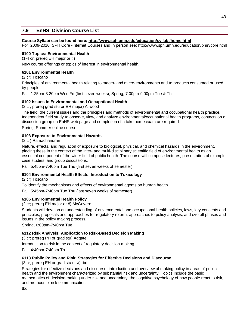# **7.9 EnHS Division Course List**

### **Course Syllabi can be found here: <http://www.sph.umn.edu/education/syllabi/home.html>**

For 2009-2010 SPH Core -Internet Courses and In person see:<http://www.sph.umn.edu/education/phm/core.html>

## **6100 Topics: Environmental Health**

(1-4 cr; prereq EH major or #)

New course offerings or topics of interest in environmental health.

### **6101 Environmental Health**

(2 cr) Toscano

Principles of environmental health relating to macro- and micro-environments and to products consumed or used by people.

Fall, 1:25pm-3:20pm Wed Fri (first seven weeks); Spring, 7:00pm-9:00pm Tue & Th

### **6102 Issues in Environmental and Occupational Health**

(2 cr; prereq grad stu or EH major) Allwood

The field, the current issues and the principles and methods of environmental and occupational health practice. Independent field study to observe, view, and analyze environmental/occupational health programs, contacts on a discussion group on EnHS web page and completion of a take home exam are required.

Spring, Summer online course

## **6103 Exposure to Environmental Hazards**

(2 cr) Ramachandran

Nature, effects, and regulation of exposure to biological, physical, and chemical hazards in the environment, placing these in the context of the inter- and multi-disciplinary scientific field of environmental health as an essential component of the wider field of public health. The course will comprise lectures, presentation of example case studies, and group discussions.

Fall, 5:45pm-7:40pm Tue Thu (first seven weeks of semester)

## **6104 Environmental Health Effects: Introduction to Toxicology**

(2 cr) Toscano

To identify the mechanisms and effects of environmental agents on human health.

Fall, 5:45pm-7:40pm Tue Thu (last seven weeks of semester)

## **6105 Environmental Health Policy**

(2 cr; prereq EH major or #) McGovern

Students will develop an understanding of environmental and occupational health policies, laws, key concepts and principles, proposals and approaches for regulatory reform, approaches to policy analysis, and overall phases and issues in the policy making process.

Spring, 6:00pm-7:40pm Tue

## **6112 Risk Analysis: Application to Risk-Based Decision Making**

(3 cr; prereq PH or grad stu) Adgate

Introduction to risk in the context of regulatory decision-making.

Fall, 4:40pm-7:40pm Th

### **6113 Public Policy and Risk: Strategies for Effective Decisions and Discourse**

(3 cr; prereq EH or grad stu or #) tbd

Strategies for effective decisions and discourse; introduction and overview of making policy in areas of public health and the environment characterized by substantial risk and uncertainty. Topics include the basic mathematics of decision-making under risk and uncertainty, the cognitive psychology of how people react to risk, and methods of risk communication.

tbd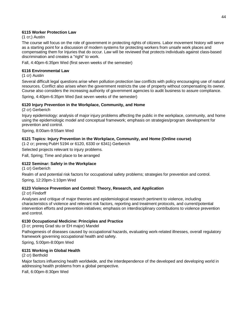## **6115 Worker Protection Law**

(1 cr;) Austin

The course will focus on the role of government in protecting rights of citizens. Labor movement history will serve as a starting point for a discussion of modern systems for protecting workers from unsafe work places and compensating them for Injuries that do occur. Law will be reviewed that protects individuals against class-based discrimination and creates a "right" to work.

Fall, 4:40pm-6:35pm Wed (first seven weeks of the semester)

### **6116 Environmental Law**

(1 cr) Austin

Several difficult legal questions arise when pollution protection law conflicts with policy encouraging use of natural resources. Conflict also arises when the government restricts the use of property without compensating its owner. Course also considers the increasing authority of government agencies to audit business to assure compliance.

Spring, 4:40pm-6:35pm Wed (last seven weeks of the semester)

### **6120 Injury Prevention in the Workplace, Community, and Home**

(2 cr) Gerberich

Injury epidemiology: analysis of major injury problems affecting the public in the workplace, community, and home using the epidemiologic model and conceptual framework; emphasis on strategies/program development for prevention and control.

Spring, 8:00am-9:55am Wed

## **6121 Topics: Injury Prevention in the Workplace, Community, and Home (Online course)**

(1-2 cr; prereq PubH 5194 or 6120, 6330 or 6341) Gerberich

Selected projects relevant to injury problems.

Fall, Spring; Time and place to be arranged

## **6122 Seminar: Safety in the Workplace**

(1 cr) Gerberich

Realm of and potential risk factors for occupational safety problems; strategies for prevention and control. Spring, 12:20pm-1:10pm Wed

## **6123 Violence Prevention and Control: Theory, Research, and Application**

(2 cr) Findorff

Analyses and critique of major theories and epidemiological research pertinent to violence, including characteristics of violence and relevant risk factors, reporting and treatment protocols, and current/potential intervention efforts and prevention initiatives; emphasis on interdisciplinary contributions to violence prevention and control.

### **6130 Occupational Medicine: Principles and Practice**

(3 cr; prereq Grad stu or EH major) Mandel

Pathogenesis of diseases caused by occupational hazards, evaluating work-related illnesses, overall regulatory framework governing occupational health and safety.

Spring, 5:00pm-8:00pm Wed

### **6131 Working in Global Health**

(2 cr) Berthold

Major factors influencing health worldwide, and the interdependence of the developed and developing world in addressing health problems from a global perspective.

Fall, 6:00pm-8:30pm Wed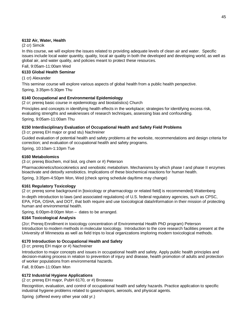# **6132 Air, Water, Health**

### (2 cr) Simcik

In this course, we will explore the issues related to providing adequate levels of clean air and water. Specific issues include local water quantity, quality, local air quality in both the developed and developing world, as well as global air, and water quality, and policies meant to protect these resources.

Fall, 9:05am-11:00am Wed

### **6133 Global Health Seminar**

(1 cr) Alexander

This seminar course will explore various aspects of global health from a public health perspective.

Spring, 3:35pm-5:30pm Thu

## **6140 Occupational and Environmental Epidemiology**

(2 cr; prereq basic course in epidemiology and biostatistics) Church

Principles and concepts in identifying health effects in the workplace; strategies for identifying excess risk, evaluating strengths and weaknesses of research techniques, assessing bias and confounding.

Spring, 9:05am-11:00am Thu

## **6150 Interdisciplinary Evaluation of Occupational Health and Safety Field Problems**

(3 cr; prereq EH major or grad stu) Nachreiner

Guided evaluation of potential health and safety problems at the worksite, recommendations and design criteria for correction; and evaluation of occupational health and safety programs.

Spring, 10:10am-1:10pm Tue

### **6160 Metabolomics**

(3 cr; prereq Biochem, mol biol, org chem or #) Peterson

Pharmacokinetics/toxicokinetics and xenobiotic metabolism. Mechanisms by which phase I and phase II enzymes bioactivate and detoxify xenobiotics. Implications of these biochemical reactions for human health.

Spring, 3:35pm-4:50pm Mon, Wed (check spring schedule day/time may change)

## **6161 Regulatory Toxicology**

(2 cr; prereq some background in [toxicology or pharmacology or related field] is recommended) Wattenberg In-depth introduction to laws (and associated regulations) of U.S. federal regulatory agencies, such as CPSC, EPA, FDA, OSHA, and DOT, that both require and use toxicological data/information in their mission of protecting human and environmental health.

Spring, 6:00pm-8:00pm Mon – dates to be arranged.

## **6164 Toxicological Analysis**

(2cr; Prereq Enrollment in toxicology concentration of Environmental Health PhD program) Peterson Introduction to modern methods in molecular toxicology. Introduction to the core research facilities present at the University of Minnesota as well as field trips to local organizations imploring modern toxicological methods.

## **6170 Introduction to Occupational Health and Safety**

(3 cr; prereq EH major or #) Nachreiner

Introduction to major concepts and issues in occupational health and safety. Apply public health principles and decision-making process in relation to prevention of injury and disease, health promotion of adults and protection of worker populations from environmental hazards.

Fall, 8:00am-11:00am Mon

## **6172 Industrial Hygiene Applications**

(2 cr; prereq EH major, PubH 6170, or #) Brosseau

Recognition, evaluation, and control of occupational health and safety hazards. Practice application to specific industrial hygiene problems related to gases/vapors, aerosols, and physical agents.

Spring (offered every other year odd yr.)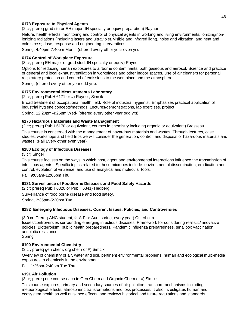## **6173 Exposure to Physical Agents**

(2 cr; prereq grad stu or EH major, IH specialty or equiv preparation) Raynor

Nature, health effects, monitoring and control of physical agents in working and living environments, ionizing/nonionizing radiations (including lasers and ultraviolet, visible and infrared light), noise and vibration, and heat and cold stress; dose, response and engineering interventions.

Spring, 4:40pm-7:40pm Mon – (offered every other year even yr).

## **6174 Control of Workplace Exposure**

(3 cr; prereq EH major or grad stud, IH specialty or equiv) Raynor

Options for reducing human exposures to airborne contaminants, both gaseous and aerosol. Science and practice of general and local exhaust ventilation in workplaces and other indoor spaces. Use of air cleaners for personal respiratory protection and control of emissions to the workplace and the atmosphere.

Spring, (offered every other year odd yrs).

### **6175 Environmental Measurements Laboratory**

(2 cr; prereq PubH 6171 or #) Raynor, Simcik

Broad treatment of occupational health field. Role of industrial hygienist. Emphasizes practical application of industrial hygiene concepts/methods. Lectures/demonstrations, lab exercises, project.

Spring, 12:20pm-4:25pm Wed- (offered every other year odd yrs)

### **6176 Hazardous Materials and Waste Management**

(2 cr; prereq PubH 6170 or equivalent, courses in chemistry including organic or equivalent) Brosseau This course is concerned with the management of hazardous materials and wastes. Through lectures, case studies, workshops and field trips we will consider the generation, control, and disposal of hazardous materials and wastes. (Fall Every other even year)

## **6180 Ecology of Infectious Diseases**

(3 cr) Singer

This course focuses on the ways in which host, agent and environmental interactions influence the transmission of infectious agents. Specific topics related to these microbes include: environmental dissemination, eradication and control, evolution of virulence, and use of analytical and molecular tools.

Fall, 9:05am-12:05pm Thu

## **6181 Surveillance of Foodborne Diseases and Food Safety Hazards**

(2 cr; prereq PubH 6320 or PubH 6341) Hedberg,

Surveillance of food borne disease and food safety.

Spring, 3:35pm-5:30pm Tue

## **6182 Emerging Infectious Diseases: Current Issues, Policies, and Controversies**

(3.0 cr; Prereq-AHC student, #; A-F or Aud, spring, every year) Osterholm

Issues/controversies surrounding emerging infectious diseases. Framework for considering realistic/innovative policies. Bioterrorism, public health preparedness. Pandemic influenza preparedness, smallpox vaccination, antibiotic resistance.

Spring

## **6190 Environmental Chemistry**

(3 cr; prereq gen chem, org chem or #) Simcik

Overview of chemistry of air, water and soil, pertinent environmental problems; human and ecological multi-media exposures to chemicals in the environment.

Fall, 1:25pm-2:40pm Tue Thu

## **6191 Air Pollution**

(3 cr; prereq one course each in Gen Chem and Organic Chem or #) Simcik

This course explores, primary and secondary sources of air pollution, transport mechanisms including meteorological effects, atmospheric transformations and loss processes. It also investigates human and ecosystem health as well nuisance effects, and reviews historical and future regulations and standards.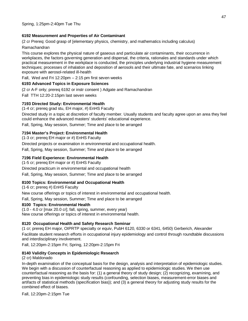# **6192 Measurement and Properties of Air Contaminant**

(2 cr Prereq: Good grasp of [elementary physics, chemistry, and mathematics including calculus)

## Ramachandran

This course explores the physical nature of gaseous and particulate air contaminants, their occurrence in workplaces, the factors governing generation and dispersal, the criteria, rationales and standards under which practical measurement in the workplace is conducted, the principles underlying industrial hygiene measurement techniques; processes of inhalation and deposition of aerosols and their ultimate fate, and scenarios linking exposure with aerosol-related ill-health

Fall, Wed and Fri 12:20pm – 2:15 pm first seven weeks

## **6193 Advanced Topics in Exposure Sciences**

(2 cr A-F only; prereq 6192 or instr consent ) Adgate and Ramachandran

Fall TTH 12:20-2:15pm last seven weeks

## **7193 Directed Study: Environmental Health**

(1-4 cr; prereq grad stu, EH major, #) EnHS Faculty

Directed study in a topic at discretion of faculty member. Usually students and faculty agree upon an area they feel could enhance the advanced masters' students' educational experience.

Fall, Spring, May session, Summer; Time and place to be arranged

## **7194 Master's Project: Environmental Health**

(1-3 cr; prereq EH major or #) EnHS Faculty

Directed projects or examination in environmental and occupational health.

Fall, Spring, May session, Summer; Time and place to be arranged

## **7196 Field Experience: Environmental Health**

(1-5 cr; prereq EH major or #) EnHS Faculty Directed practicum in environmental and occupational health

Fall, Spring, May session, Summer; Time and place to be arranged

## **8100 Topics: Environmental and Occupational Health**

(1-6 cr; prereq #) EnHS Faculty

New course offerings or topics of interest in environmental and occupational health.

Fall, Spring, May session, Summer; Time and place to be arranged

## **8100 Topics: Environmental Health**

(1.0 - 4.0 cr [max 20.0 cr]; fall, spring, summer, every year) New course offerings or topics of interest in environmental health.

## **8120 Occupational Health and Safety Research Seminar**

(1 cr; prereq EH major, OIPRTP specialty or equiv, PubH 6120, 6330 or 6341, 6450) Gerberich, Alexander Facilitate student research efforts in occupational injury epidemiology and control through roundtable discussions and interdisciplinary involvement.

Fall, 12:20pm-2:15pm Fri; Spring, 12:20pm-2:15pm Fri

## **8140 Validity Concepts in Epidemiologic Research**

(2 cr) Maldonado

In-depth examination of the conceptual basis for the design, analysis and interpretation of epidemiologic studies. We begin with a discussion of counterfactual reasoning as applied to epidemiologic studies. We then use counterfactual reasoning as the basis for: (1) a general theory of study design; (2) recognizing, examining, and preventing bias in epidemiologic study results (confounding, selection biases, measurement-error biases and artifacts of statistical methods (specification bias)); and (3) a general theory for adjusting study results for the combined effect of biases.

Fall, 12:20pm-2:15pm Tue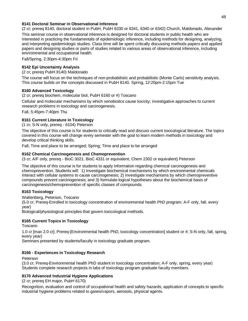### **8141 Doctoral Seminar in Observational Inference**

(2 cr; prereq 8140, doctoral student in PubH, PubH 6330 or 6341, 6340 or 6342) Church, Maldonado, Alexander

This seminar course in observational inference is designed for doctoral students in public health who are interested in practicing the fundamentals of epidemiologic inference, including methods for designing, analyzing, and interpreting epidemiologic studies. Class time will be spent critically discussing methods papers and applied papers and designing studies or parts of studies related to various areas of observational inference, including environmental and occupational health.

Fall/Spring, 2:30pm-4:30pm Fri

## **8142 Epi Uncertainty Analysis**

(2 cr; prereq PubH 8140) Maldonado

The course will focus on the techniques of non-probabilistic and probabilistic (Monte Carlo) sensitivity analysis. This course builds on the concepts discussed in PubH 8140. Spring, 12:20pm-2:15pm Tue

### **8160 Advanced Toxicology**

(2 cr; prereq biochem, molecular biol, PubH 6160 or #) Toscano

Cellular and molecular mechanisms by which xenobiotics cause toxicity; investigative approaches to current research problems in toxicology and carcinogenesis.

Fall, 5:45pm-7:40pm Thu

## **8161 Current Literature in Toxicology**

(1 cr; S-N only, prereq - 6104) Peterson

The objective of this course is for students to critically read and discuss current toxicological literature. The topics covered in this course will change every semester with the goal to learn modern methods in toxicology and develop critical thinking skills.

Fall; Time and place to be arranged; Spring; Time and place to be arranged

### **8162 Chemical Carcinogenesis and Chemoprevention**

(3 cr; A/F only, prereq - BioC 3021. BioC 4331 or equivalent, Chem 2302 or equivalent) Peterson

The objective of this course is for students to apply Information regarding chemical carcinogenesis and chemoprevention. Students will: 1) Investigate biochemical mechanisms by which environmental chemicals Interact with cellular systems to cause carcinogenesis; 2) Investigate mechanisms by which chemopreventive compounds prevent carcinogenesis; and 3) formulate logical hypotheses about the biochemical basis of carcinogenesis/chemoprevention of specific classes of compounds.

## **8163 Toxicology**

Wattenberg, Peterson, Toscano

(5.0 cr; Prereq-Enrolled in toxicology concentration of environmental health PhD program; A-F only, fall, every year)

Biological/physiological principles that govern toxicological methods.

## **8165 Current Topics in Toxicology**

Toscano

1.0 cr [max 2.0 cr]; Prereq-[Environmental health PhD, toxicology concentration] student or #; S-N only, fall, spring, every year)

Seminars presented by students/faculty in toxicology graduate program.

## **8166 - Experiences in Toxicology Research**

Peterson

(3.0 cr; Prereq-Environmental health PhD student in toxicology concentration; A-F only, spring, every year) Students complete research projects in labs of toxicology program graduate faculty members.

## **8170 Advanced Industrial Hygiene Applications**

(2 cr; prereq EH major, PubH 6170)

Recognition, evaluation and control of occupational health and safety hazards; application of concepts to specific industrial hygiene problems related to gases/vapors, aerosols, physical agents.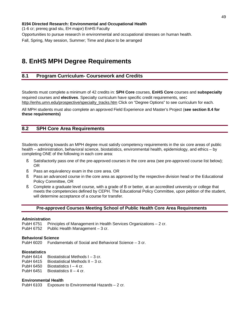**8194 Directed Research: Environmental and Occupational Health**  (1-6 cr; prereq grad stu, EH major) EnHS Faculty Opportunities to pursue research in environmental and occupational stresses on human health. Fall, Spring, May session, Summer; Time and place to be arranged

# **8. EnHS MPH Degree Requirements**

# **8.1 Program Curriculum- Coursework and Credits**

Students must complete a minimum of 42 credits in: **SPH Core** courses, **EnHS Core** courses and **subspecialty** required courses and **electives**. Specialty curriculum have specific credit requirements, see**:**  [http://enhs.umn.edu/prospective/specialty\\_tracks.htm](http://enhs.umn.edu/prospective/specialty_tracks.htm) Click on "Degree Options" to see curriculum for each.

All MPH students must also complete an approved Field Experience and Master's Project (**see section 8.4 for these requirements)** 

# **8.2 SPH Core Area Requirements**

Students working towards an MPH degree must satisfy competency requirements in the six core areas of public health – administration, behavioral science, biostatistics, environmental health, epidemiology, and ethics – by completing ONE of the following in each core area:

- § Satisfactorily pass one of the pre-approved courses in the core area (see pre-approved course list below); OR
- § Pass an equivalency exam in the core area. OR
- § Pass an advanced course in the core area as approved by the respective division head or the Educational Policy Committee, OR
- § Complete a graduate level course, with a grade of B or better, at an accredited university or college that meets the competencies defined by CEPH. The Educational Policy Committee, upon petition of the student, will determine acceptance of a course for transfer.

### **Pre-approved Courses Meeting School of Public Health Core Area Requirements**

#### **Administration**

PubH 6751 Principles of Management in Health Services Organizations – 2 cr. PubH 6752 Public Health Management – 3 cr.

### **Behavioral Science**

PubH 6020 Fundamentals of Social and Behavioral Science – 3 cr.

### **Biostatistics**

- PubH 6414 Biostatistical Methods I 3 cr.
- PubH 6415 Biostatistical Methods II 3 cr.
- PubH 6450 Biostatistics I 4 cr.
- PubH  $6451$  Biostatistics II 4 cr.

### **Environmental Health**

PubH 6103 Exposure to Environmental Hazards – 2 cr.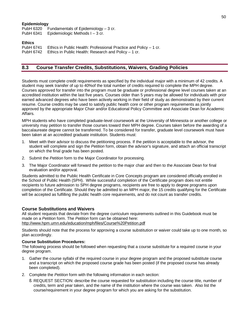### **Epidemiology**

PubH 6320 Fundamentals of Epidemiology – 3 cr. PubH 6341 Epidemiologic Methods I – 3 cr.

### **Ethics**

PubH 6741 Ethics in Public Health: Professional Practice and Policy – 1 cr. PubH 6742 Ethics in Public Health: Research and Policy – 1 cr.

# **8.3 Course Transfer Credits, Substitutions, Waivers, Grading Policies**

Students must complete credit requirements as specified by the individual major with a minimum of 42 credits. A student may seek transfer of up to 40%of the total number of credits required to complete the MPH degree. Courses approved for transfer into the program must be graduate or professional degree level courses taken at an accredited institution within the last five years. Courses older than 5 years may be allowed for individuals with prior earned advanced degrees who have been actively working in their field of study as demonstrated by their current resume. Course credits may be used to satisfy public health core or other program requirements as jointly approved by the appropriate Major Chair and/or Educational Policy Committee and Associate Dean for Academic Affairs.

MPH students who have completed graduate-level coursework at the University of Minnesota or another college or university may petition to transfer those courses toward their MPH degree. Courses taken before the awarding of a baccalaureate degree cannot be transferred. To be considered for transfer, graduate level coursework must have been taken at an accredited graduate institution. Students must:

- 1. Meet with their advisor to discuss the petitioning process. If the petition is acceptable to the advisor, the student will complete and sign the *Petition* form, obtain the advisor's signature, and attach an official transcript on which the final grade has been posted.
- 2. Submit the *Petition* form to the Major Coordinator for processing.
- 3. The Major Coordinator will forward the petition to the major chair and then to the Associate Dean for final evaluation and/or approval.

Students admitted to the Public Health Certificate in Core Concepts program are considered officially enrolled in the School of Public Health (SPH). While successful completion of the Certificate program does not entitle recipients to future admission to SPH degree programs, recipients are free to apply to degree programs upon completion of the Certificate. Should they be admitted to an MPH major, the 15 credits qualifying for the Certificate will be accepted as fulfilling the public health core requirements, and do not count as transfer credits.

### **Course Substitutions and Waivers**

All student requests that deviate from the degree curriculum requirements outlined in this Guidebook must be made on a *Petition* form. The *Petition* form can be obtained here: <http://www.hpm.umn.edu/education/mph/files/Course%20Petition.pdf>

Students should note that the process for approving a course substitution or waiver could take up to one month, so plan accordingly.

### **Course Substitution Procedures:**

The following process should be followed when requesting that a course substitute for a required course in your degree program.

- 1. Gather the course syllabi of the required course in your degree program and the proposed substitute course and a transcript on which the proposed course grade has been posted (if the proposed course has already been completed).
- 2. Complete the *Petition* form with the following information in each section:
	- § REQUEST SECTION: describe the course requested for substitution including the course title, number of credits, term and year taken, and the name of the institution where the course was taken. Also list the course/requirement in your degree program for which you are asking for the substitution.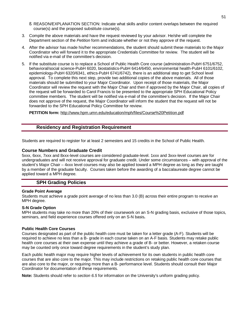- § REASON/EXPLANATION SECTION: Indicate what skills and/or content overlaps between the required course(s) and the proposed substitute course(s).
- 3. Compile the above materials and have the request reviewed by your advisor. He/she will complete the Department section of the *Petition* form and indicate whether or not they approve of the request.
- 4. After the advisor has made his/her recommendations, the student should submit these materials to the Major Coordinator who will forward it to the appropriate Credentials Committee for review. The student will be notified via e-mail of the committee's decision.
- 5. If the substitute course is to replace a School of Public Health Core course (administration-PubH 6751/6752, behavioral/social science-PubH 6020, biostatistics-PubH 6414/6450, environmental health-PubH 6101/6102, epidemiology-PubH 6320/6341, ethics-PubH 6741/6742), there is an additional step to get School level approval. To complete this next step, provide two additional copies of the above materials. All of those materials should be submitted to your Major Coordinator. Upon receipt of those materials, the Major Coordinator will review the request with the Major Chair and then if approved by the Major Chair, all copies of the request will be forwarded to Carol Francis to be presented to the appropriate SPH Educational Policy committee members. The student will be notified via e-mail of the committee's decision. If the Major Chair does not approve of the request, the Major Coordinator will inform the student that the request will not be forwarded to the SPH Educational Policy Committee for review.

**PETITION form:** <http://www.hpm.umn.edu/education/mph/files/Course%20Petition.pdf>

# **Residency and Registration Requirement**

Students are required to register for at least 2 semesters and 15 credits in the School of Public Health.

### **Course Numbers and Graduate Credit**

5xxx, 6xxx, 7xxx and 8xxx-level courses are considered graduate-level. 1xxx and 3xxx-level courses are for undergraduates and will not receive approval for graduate credit. Under some circumstances – with approval of the student's Major Chair – 4xxx level courses may also be applied toward a MPH degree as long as they are taught by a member of the graduate faculty. Courses taken before the awarding of a baccalaureate degree cannot be applied toward a MPH degree.

## **SPH Grading Policies**

### **Grade Point Average**

Students must achieve a grade point average of no less than 3.0 (B) across their entire program to receive an MPH degree.

### **S-N Grade Option**

MPH students may take no more than 20% of their coursework on an S-N grading basis, exclusive of those topics, seminars, and field experience courses offered only on an S-N basis**.** 

### **Public Health Core Courses**

Courses designated as part of the public health core must be taken for a letter grade (A-F). Students will be required to achieve no less than a B- grade in each course taken on an A-F basis. Students may retake public health core courses at their own expense until they achieve a grade of B- or better. However, a retaken course may be counted only once toward degree requirements in the student's study plan.

Each public health major may require higher levels of achievement for its own students in public health core courses that are also core to the major. This may include restrictions on retaking public health core courses that are also core to the major, or requiring more than a B- performance level. Students should consult their Major Coordinator for documentation of these requirements.

**Note:** Students should refer to *section 6.5* for information on the University's uniform grading policy.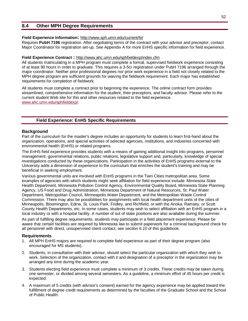# **8.4 Other MPH Degree Requirements**

### **Field Experience Information:** <http://www.sph.umn.edu/current/fe/>

Requires **PubH 7196** registration. After negotiating terms of the contract with your advisor and preceptor, contact Major Coordinator for registration set-up. See Appendix A for more EnHS specific information for field experience.

### **Field Experience Contract :** <http://www.ahc.umn.edu/sphfieldexp/index.cfm>

All students matriculating in a MPH program must complete a formal, supervised fieldwork experience consisting of at least 90 hours in order to graduate. This requires a 3-5cr registration under PubH 7196 arranged through the major coordinator. Neither prior professional degrees nor prior work experience in a field not closely related to the MPH degree program are sufficient grounds for waiving the fieldwork requirement. Each major has established requirements for completion of fieldwork.

All students must complete a contract prior to beginning the experience. The online contract form provides streamlined, comprehensive information for the student, their preceptors, and faculty advisor. Please refer to the current student Web site for this and other resources related to the field experience. [www.ahc.umn.edu/sphfieldexp/.](http://www.ahc.umn.edu/sphfieldexp/)

## **Field Experience: EnHS Specific Requirements**

### **Background**

Part of the curriculum for the master's degree includes an opportunity for students to learn first-hand about the organization, operations, and special activities of selected agencies, institutions, and industries concerned with environmental health (EnHS) or related programs.

The EnHS field experience provides students with a means of gaining additional insight into programs, personnel management, governmental relations, public relations, legislative support and, particularly, knowledge of special investigations conducted by these organizations. Participation in the activities of EnHS programs external to the University adds a dimension of experience to the curriculum that enriches the student's training and may be beneficial in seeking employment.

Various governmental units are involved with EnHS programs in the Twin Cities metropolitan area. Some examples of agencies with which students might seek affiliation for field experience include: Minnesota State Health Department, Minnesota Pollution Control Agency, Environmental Quality Board, Minnesota State Planning Agency, US Food and Drug Administration, Minnesota Department of Natural Resources, St. Paul Water Department, Metropolitan Council, Minneapolis Water Department, and the Metropolitan Waste Control Commission. There may also be possibilities for assignments with local health department units of the cities of Minneapolis, Bloomington, Edina, St. Louis Park, Fridley, and Richfield, or with the Anoka, Ramsey, or Scott County Health Departments, etc. In some cases, students may wish to select affiliation with an EnHS program in a local industry or with a hospital facility. A number of out of state positions are also available during the summer.

As part of fulfilling degree requirements, students may participate in a field placement experience. Please be aware that certain facilities are required by Minnesota law to submit paperwork for a criminal background check for all personnel with direct, unsupervised client contact; see *section 6.10* of this guidebook.

### **Requirements**

- 1. All MPH EnHS majors are required to complete field experience as part of their degree program (also encouraged for MS students).
- 2. Students, in consultation with their advisor, should select the particular organization with which they wish to work. Selection of the organization, contact with it and designation of a preceptor in the organization may be arranged any time during the academic year.
- 3. Students electing field experience must complete a minimum of 3 credits. These credits may be taken during one semester, or divided among several semesters. As a guideline, a minimum effort of 45 hours per credit is expected.
- 4. A maximum of 5 credits (with advisor's consent) earned for the agency experience may be applied toward the fulfillment of degree credit requirements as determined by the faculties of the Graduate School and the School of Public Health.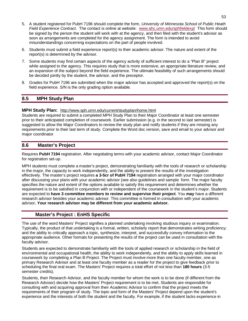- 5. A student registered for PubH 7196 should complete the form, *University of Minnesota School of Public Heath Field Experience Contract*. The contact is online at website: [www.ahc.umn.edu/sphfieldexp/](http://www.ahc.umn.edu/sphfieldexp/) This form should be signed by the person the student will work with at the agency, and then filed with the student's advisor as soon as arrangements are completed for the agency assignment. The form is intended to avoid misunderstandings concerning expectations on the part of people involved.
- 6. Students must submit a field experience report(s) to their academic advisor. The nature and extent of the report(s) is determined by the advisor.
- 7. Some students may find certain aspects of the agency activity of sufficient interest to do a "Plan B" project while assigned to the agency. This requires study that is more extensive, an appropriate literature review, and an expansion of the subject beyond the field experience. The ultimate feasibility of such arrangements should be decided jointly by the student, the advisor, and the preceptor.
- 8. Grades for PubH 7196 are submitted when the major advisor has accepted and approved the report(s) on the field experience. S/N is the only grading option available.

# **8.5 MPH Study Plan**

## **MPH Study Plan:** <http://www.sph.umn.edu/current/studyplan/home.html>

Students are required to submit a completed MPH Study Plan to their Major Coordinator at least one semester prior to their anticipated completion of coursework. Earlier submission (e.g. in the second to last semester) is suggested to allow the Major Coordinators to review the study plan and notify students if they are missing any requirements prior to their last term of study. Complete the Word doc version, save and email to your advisor and major coordinator

# **8.6 Master's Project**

Requires **PubH 7194** registration. After negotiating terms with your academic advisor, contact Major Coordinator for registration set-up.

MPH students must complete a master's project, demonstrating familiarity with the tools of research or scholarship in the major, the capacity to work independently, and the ability to present the results of the investigation effectively. The master's project requires **a 3-5cr of PubH 7194** registration arranged with your major coordinator after discussing your plans with your academic advisor (see also guidelines and sample form. The major faculty specifies the nature and extent of the options available to satisfy this requirement and determines whether the requirement is to be satisfied in conjunction with or independent of the coursework in the student's major. Students are expected to **have 3 committee members to review and supervise their project**. You **may** have a different research advisor besides your academic advisor. This committee is formed in consultation with your academic advisor**. Your research advisor may be different from your academic advisor.** 

# **Master's Project : EnHS Specific**

The use of the word Masters' Project signifies a planned undertaking involving studious inquiry or examination. Typically, the product of that undertaking is a formal, written, scholarly report that demonstrates writing proficiency; and the ability to critically approach a topic, synthesize, interpret, and successfully convey information to the appropriate audience. Other formats for presenting the results of the project can be used in consultation with the faculty advisor.

Students are expected to demonstrate familiarity with the tools of applied research or scholarship in the field of environmental and occupational health, the ability to work independently, and the ability to apply skills learned in coursework by completing a Plan B Project. The Project must involve more than one faculty member, one as primary Research Advisor and at least one faculty member as a reader for the project to give feedback prior to scheduling the final oral exam. The Masters' Project requires a total effort of not less than **180 hours** (3-5 semester credits).

Students, their Research Advisor, and the faculty member for whom the work is to be done (if different from the Research Advisor) decide how the Masters' Project requirement is to be met. Students are responsible for consulting with and acquiring approval from their Academic Advisor to confirm that the project meets the requirements of their program of study. The topic and form of the Masters' Project depend upon the student's experience and the interests of both the student and the faculty. For example, if the student lacks experience in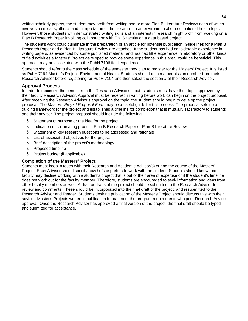writing scholarly papers, the student may profit from writing one or more Plan B Literature Reviews each of which involves a critical synthesis and interpretation of the literature on an environmental or occupational health topic. However, those students with demonstrated writing skills and an interest in research might profit from working on a Plan B Research Paper involving collaboration with EnHS faculty on a data based project.

The student's work could culminate in the preparation of an article for potential publication. Guidelines for a Plan B Research Paper and a Plan B Literature Review are attached. If the student has had considerable experience in writing papers, as evidenced by some published material, and has had little experience in laboratory or other kinds of field activities a Masters' Project developed to provide some experience in this area would be beneficial. This approach may be associated with the PubH 7196 field experience.

Students should refer to the class schedule of the semester they plan to register for the Masters' Project. It is listed as PubH 7194 Master's Project: Environmental Health. Students should obtain a permission number from their Research Advisor before registering for PubH 7194 and then select the section # of their Research Advisor.

## **Approval Process**

In order to maximize the benefit from the Research Advisor's input, students must have their topic approved by their faculty Research Advisor. Approval must be received in writing before work can begin on the project proposal. After receiving the Research Advisor's approval on the topic, the student should begin to develop the project proposal. The *Masters' Project Proposal Form* may be a useful guide for this process. The proposal sets up a guiding framework for the project and establishes a timeline for completion that is mutually satisfactory to students and their advisor. The project proposal should include the following:

- § Statement of purpose or the idea for the project
- § Indication of culminating product: Plan B Research Paper or Plan B Literature Review
- § Statement of key research questions to be addressed and rationale
- § List of associated objectives for the project
- § Brief description of the project's methodology
- § Proposed timeline
- § Project budget (if applicable)

# **Completion of the Masters' Project**

Students must keep in touch with their Research and Academic Advisor(s) during the course of the Masters' Project. Each Advisor should specify how he/she prefers to work with the student. Students should know that faculty may decline working with a student's project that is out of their area of expertise or if the student's timeline does not work out for the faculty member. Therefore, students are encouraged to seek information and ideas from other faculty members as well. A draft or drafts of the project should be submitted to the Research Advisor for review and comments. These should be incorporated into the final draft of the project, and resubmitted to the Research Advisor and Reader. Students desiring publication of the Master's Project should discuss this with their advisor. Master's Projects written in publication format meet the program requirements with prior Research Advisor approval. Once the Research Advisor has approved a final version of the project, the final draft should be typed and submitted for acceptance.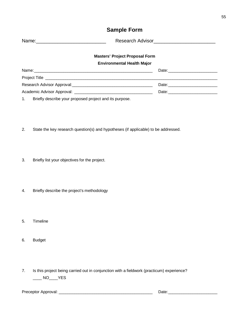# **Sample Form**

|                                                            | <b>Masters' Project Proposal Form</b> |
|------------------------------------------------------------|---------------------------------------|
|                                                            | <b>Environmental Health Major</b>     |
|                                                            |                                       |
|                                                            |                                       |
|                                                            |                                       |
|                                                            |                                       |
| 1. Briefly describe your proposed project and its purpose. |                                       |

- 2. State the key research question(s) and hypotheses (if applicable) to be addressed.
- 3. Briefly list your objectives for the project.
- 4. Briefly describe the project's methodology
- 5. Timeline
- 6. Budget
- 7. Is this project being carried out in conjunction with a fieldwork (practicum) experience?  $\_\_$  NO $\_\_$  YES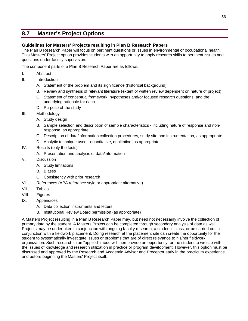# **8.7 Master's Project Options**

# **Guidelines for Masters' Projects resulting in Plan B Research Papers**

The Plan B Research Paper will focus on pertinent questions or issues in environmental or occupational health. This Masters' Project option provides students with an opportunity to apply research skills to pertinent issues and questions under faculty supervision.

The component parts of a Plan B Research Paper are as follows:

- I. Abstract
- II. Introduction
	- A. Statement of the problem and its significance (historical background)
	- B. Review and synthesis of relevant literature (extent of written review dependent on nature of project)
	- C. Statement of conceptual framework, hypotheses and/or focused research questions, and the underlying rationale for each
	- D. Purpose of the study
- III. Methodology
	- A. Study design
	- B. Sample selection and description of sample characteristics including nature of response and nonresponse, as appropriate
	- C. Description of data/information collection procedures, study site and instrumentation, as appropriate
	- D. Analytic technique used quantitative, qualitative, as appropriate
- IV. Results (only the facts)
	- A. Presentation and analysis of data/information
- V. Discussion
	- A. Study limitations
	- B. Biases
	- C. Consistency with prior research
- VI. References (APA reference style or appropriate alternative)
- VII. Tables
- VIII. Figures
- IX. Appendices
	- A. Data collection instruments and letters
	- B. Institutional Review Board permission (as appropriate)

A Masters Project resulting in a Plan B Research Paper may, but need not necessarily involve the collection of primary data by the student. A Masters Project can be completed through secondary analysis of data as well. Projects may be undertaken in conjunction with ongoing faculty research, a student's class, or be carried out in conjunction with a fieldwork placement. Doing research at the placement site can create the opportunity for the student to systematically investigate issues or problems that are of direct relevance to his/her fieldwork organization. Such research in an "applied" mode will then provide an opportunity for the student to wrestle with the issues of knowledge and research utilization in practice or program development. However, this option must be discussed and approved by the Research and Academic Advisor and Preceptor early in the practicum experience and before beginning the Masters' Project itself.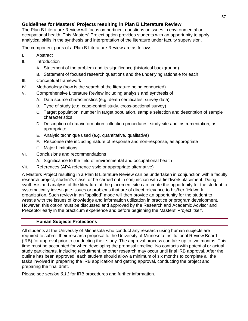# **Guidelines for Masters' Projects resulting in Plan B Literature Review**

The Plan B Literature Review will focus on pertinent questions or issues in environmental or occupational health. This Masters' Project option provides students with an opportunity to apply analytical skills in the synthesis and interpretation of the literature under faculty supervision.

The component parts of a Plan B Literature Review are as follows:

- I. Abstract
- II. Introduction
	- A. Statement of the problem and its significance (historical background)
	- B. Statement of focused research questions and the underlying rationale for each
- III. Conceptual framework
- IV. Methodology (how is the search of the literature being conducted)
- V. Comprehensive Literature Review including analysis and synthesis of
	- A. Data source characteristics (e.g. death certificates, survey data)
	- B. Type of study (e.g. case-control study, cross-sectional survey)
	- C. Target population, number in target population, sample selection and description of sample characteristics
	- D. Description of data/information collection procedures, study site and instrumentation, as appropriate
	- E. Analytic technique used (e.g. quantitative, qualitative)
	- F. Response rate including nature of response and non-response, as appropriate
	- G. Major Limitations
- VI. Conclusions and recommendations
	- A. Significance to the field of environmental and occupational health
- VII. References (APA reference style or appropriate alternative)

A Masters Project resulting in a Plan B Literature Review can be undertaken in conjunction with a faculty research project, student's class, or be carried out in conjunction with a fieldwork placement. Doing synthesis and analysis of the literature at the placement site can create the opportunity for the student to systematically investigate issues or problems that are of direct relevance to his/her fieldwork organization. Such review in an "applied" mode will then provide an opportunity for the student to wrestle with the issues of knowledge and information utilization in practice or program development. However, this option must be discussed and approved by the Research and Academic Advisor and Preceptor early in the practicum experience and before beginning the Masters' Project itself.

# **Human Subjects Protections**

All students at the University of Minnesota who conduct any research using human subjects are required to submit their research proposal to the University of Minnesota Institutional Review Board (IRB) for approval prior to conducting their study. The approval process can take up to two months. This time must be accounted for when developing the proposal timeline. No contacts with potential or actual study participants, including recruitment, or other research may occur until final IRB approval. After the outline has been approved, each student should allow a minimum of six months to complete all the tasks involved in preparing the IRB application and getting approval, conducting the project and preparing the final draft.

Please see *section 6.11* for IRB procedures and further information.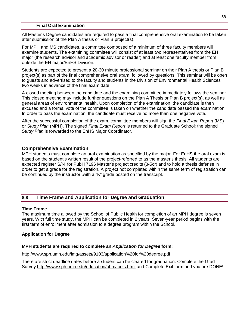## **Final Oral Examination**

All Master's Degree candidates are required to pass a final comprehensive oral examination to be taken after submission of the Plan A thesis or Plan B project(s).

For MPH and MS candidates, a committee composed of a minimum of three faculty members will examine students. The examining committee will consist of at least two representatives from the EH major (the research advisor and academic advisor or reader) and at least one faculty member from outside the EH major/EnHS Division.

Students are expected to present a 20-30 minute professional seminar on their Plan A thesis or Plan B project(s) as part of the final comprehensive oral exam, followed by questions. This seminar will be open to guests and advertised to the faculty and students in the Division of Environmental Health Sciences two weeks in advance of the final exam date.

A closed meeting between the candidate and the examining committee immediately follows the seminar. This closed meeting may include further questions on the Plan A Thesis or Plan B project(s), as well as general areas of environmental health. Upon completion of the examination, the candidate is then excused and a formal vote of the committee is taken on whether the candidate passed the examination. In order to pass the examination, the candidate must receive no more than one negative vote.

After the successful completion of the exam, committee members will sign the *Final Exam Report* (MS) or *Study Plan* (MPH). The signed *Final Exam Report* is returned to the Graduate School; the signed *Study Plan* is forwarded to the EnHS Major Coordinator.

# **Comprehensive Examination**

MPH students must complete an oral examination as specified by the major. For EnHS the oral exam is based on the student's written result of the project-referred to as the master's thesis. All students are expected register S/N for PubH 7196 Master's project credits (3-5cr) and to hold a thesis defense in order to get a grade for the registration. A project not completed within the same term of registration can be continued by the instructor .with a "K" grade posted on the transcript.

# **8.8 Time Frame and Application for Degree and Graduation**

## **Time Frame**

The maximum time allowed by the School of Public Health for completion of an MPH degree is seven years. With full time study, the MPH can be completed in 2 years. Seven-year period begins with the first term of enrollment after admission to a degree program within the School.

# **Application for Degree**

# **MPH students are required to complete an** *Application for Degree* **form:**

## <http://www.sph.umn.edu/img/assets/9103/application%20for%20degree.pdf>

There are strict deadline dates before a student can be cleared for graduation. Complete the Grad Survey<http://www.sph.umn.edu/education/phm/tools.html> and Complete Exit form and you are DONE!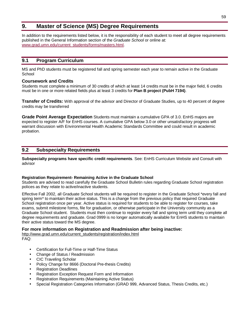# **9. Master of Science (MS) Degree Requirements**

In addition to the requirements listed below, it is the responsibility of each student to meet all degree requirements published in the General Information section of the *Graduate School* or online at: [www.grad.umn.edu/current\\_students/forms/masters.html.](http://www.grad.umn.edu/current_students/forms/masters.html)

# **9.1 Program Curriculum**

MS and PhD students must be registered fall and spring semester each year to remain active in the Graduate School

## **Coursework and Credits**

Students must complete a minimum of 30 credits of which at least 14 credits must be in the major field, 6 credits must be in one or more related fields plus at least 3 credits for **Plan B project (PubH 7194)**.

**Transfer of Credits:** With approval of the advisor and Director of Graduate Studies, up to 40 percent of degree credits may be transferred

**Grade Point Average Expectation** Students must maintain a cumulative GPA of 3.0. EnHS majors are expected to register A/F for EnHS courses. A cumulative GPA below 3.0 or other unsatisfactory progress will warrant discussion with Environmental Health Academic Standards Committee and could result in academic probation.

# **9.2 Subspecialty Requirements**

**Subspecialty programs have specific credit requirements**. See: EnHS Curriculum Website and Consult with advisor

## **Registration Requirement- Remaining Active in the Graduate School**

Students are advised to read carefully the Graduate School Bulletin rules regarding Graduate School registration polices as they relate to active/inactive students.

Effective Fall 2002, all Graduate School students will be required to register in the Graduate School \*every fall and spring term<sup>\*</sup> to maintain their active status. This is a change from the previous policy that required Graduate School registration once per year. Active status is required for students to be able to register for courses, take exams, submit milestone forms, file for graduation, or otherwise participate in the University community as a Graduate School student. Students must then continue to register every fall and spring term until they complete all degree requirements and graduate. Grad 0999 is no longer automatically available for EnHS students to maintain their active status toward the MS degree.

## **For more information on Registration and Readmission after being inactive:**

[http://www.grad.umn.edu/current\\_students/registration/index.html](http://www.grad.umn.edu/current_students/registration/index.html) FAQ:

- Certification for Full-Time or Half-Time Status
- Change of Status / Readmission
- CIC Traveling Scholar
- Policy Change for 8666 (Doctoral Pre-thesis Credits)
- Registration Deadlines
- Registration Exception Request Form and Information
- Registration Requirements (Maintaining Active Status)
- Special Registration Categories Information (GRAD 999, Advanced Status, Thesis Credits, etc.)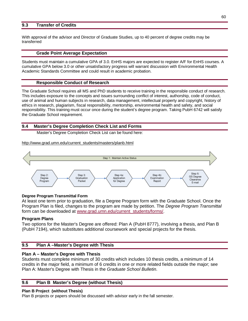## **9.3 Transfer of Credits**

With approval of the advisor and Director of Graduate Studies, up to 40 percent of degree credits may be transferred

## **Grade Point Average Expectation**

Students must maintain a cumulative GPA of 3.0. EnHS majors are expected to register A/F for EnHS courses. A cumulative GPA below 3.0 or other unsatisfactory progress will warrant discussion with Environmental Health Academic Standards Committee and could result in academic probation.

## **Responsible Conduct of Research**

The Graduate School requires all MS and PhD students to receive training in the responsible conduct of research. This includes exposure to the concepts and issues surrounding conflict of interest, authorship, code of conduct, use of animal and human subjects in research, data management, intellectual property and copyright, history of ethics in research, plagiarism, fiscal responsibility, mentorship, environmental health and safety, and social responsibility. This training must occur once during the student's degree program. Taking PubH 6742 will satisfy the Graduate School requirement.

# **9.4 Master's Degree Completion Check List and Forms**

Master's Degree Completion Check List can be found here:

[http://www.grad.umn.edu/current\\_students/masters/planb.html](http://www.grad.umn.edu/current_students/masters/planb.html)



## **Degree Program Transmittal Form**

At least one term prior to graduation, file a Degree Program form with the Graduate School. Once the Program Plan is filed, changes to the program are made by petition. The *Degree Program Transmittal* form can be downloaded at [www.grad.umn.edu/current\\_students/forms/](http://www.grad.umn.edu/current_students/forms/).

## **Program Plans**

Two options for the Master's Degree are offered: Plan A (PubH 8777), involving a thesis, and Plan B (PubH 7194), which substitutes additional coursework and special projects for the thesis.

# **9.5 Plan A –Master's Degree with Thesis**

# **Plan A – Master's Degree with Thesis**

Students must complete minimum of 30 credits which includes 10 thesis credits, a minimum of 14 credits in the major field, a minimum of 6 credits in one or more related fields outside the major; see Plan A: Master's Degree with Thesis in the *Graduate School Bulletin*.

# **9.6 Plan B Master's Degree (without Thesis)**

## **Plan B Project (without Thesis)**

Plan B projects or papers should be discussed with advisor early in the fall semester.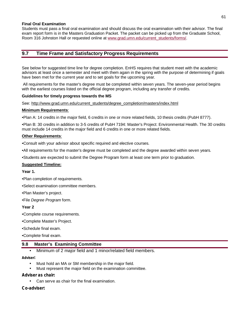### **Final Oral Examination**

Students must pass a final oral examination and should discuss the oral examination with their advisor. The final exam report form is in the Masters Graduation Packet. The packet can be picked up from the Graduate School, Room 316 Johnston Hall or requested online at [www.grad.umn.edu/current\\_students/forms/.](http://www.grad.umn.edu/current_students/forms/)

# **9.7 Time Frame and Satisfactory Progress Requirements**

See below for suggested time line for degree completion. EnHS requires that student meet with the academic advisors at least once a semester and meet with them again in the spring with the purpose of determining if goals have been met for the current year and to set goals for the upcoming year.

All requirements for the master's degree must be completed within seven years. The seven-year period begins with the earliest courses listed on the official degree program, including any transfer of credits.

### **Guidelines for timely progress towards the MS**

See: [http://www.grad.umn.edu/current\\_students/degree\\_completion/masters/index.html](http://www.grad.umn.edu/current_students/degree_completion/masters/index.html)

### **Minimum Requirements**:

•Plan A: 14 credits in the major field, 6 credits in one or more related fields, 10 thesis credits (PubH 8777).

•Plan B: 30 credits in addition to 3-5 credits of PubH 7194: Master's Project: Environmental Health. The 30 credits must include 14 credits in the major field and 6 credits in one or more related fields.

### **Other Requirements**:

•Consult with your advisor about specific required and elective courses.

•All requirements for the master's degree must be completed and the degree awarded within seven years.

•Students are expected to submit the Degree Program form at least one term prior to graduation.

### **Suggested Timeline:**

**Year 1.** 

- •Plan completion of requirements.
- •Select examination committee members.

•Plan Master's project.

•File *Degree Program* form.

### **Year 2**

•Complete course requirements.

•Complete Master's Project.

•Schedule final exam.

•Complete final exam.

## **9.8 Master's Examining Committee**

• Minimum of 2 major field and 1 minor/related field members.

**Adviser:** 

- Must hold an MA or SM membership in the major field.
- Must represent the major field on the examination committee.

**Adviser as chair:** 

• Can serve as chair for the final examination.

**Co-adviser:**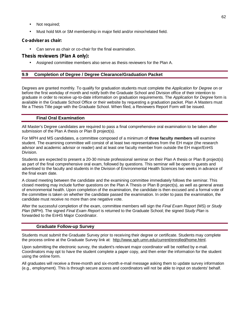- Not required;
- Must hold MA or SM membership in major field and/or minor/related field.

**Co-adviser as chair:** 

• Can serve as chair or co-chair for the final examination.

**Thesis reviewers (Plan A only):** 

• Assigned committee members also serve as thesis reviewers for the Plan A.

# **9.9 Completion of Degree / Degree Clearance/Graduation Packet**

Degrees are granted monthly. To qualify for graduation students must complete the *Application for Degree* on or before the first workday of month and notify both the Graduate School and Division office of their intention to graduate in order to receive up-to-date information on graduation requirements. The *Application for Degree* form is available in the Graduate School Office or their website by requesting a graduation packet. Plan A Masters must file a Thesis Title page with the Graduate School. When filed, a Reviewers Report Form will be issued.

# **Final Oral Examination**

All Master's Degree candidates are required to pass a final comprehensive oral examination to be taken after submission of the Plan A thesis or Plan B project(s).

For MPH and MS candidates, a committee composed of a minimum of **three faculty members** will examine student. The examining committee will consist of at least two representatives from the EH major (the research advisor and academic advisor or reader) and at least one faculty member from outside the EH major/EnHS Division.

Students are expected to present a 20-30 minute professional seminar on their Plan A thesis or Plan B project(s) as part of the final comprehensive oral exam, followed by questions. This seminar will be open to guests and advertised to the faculty and students in the Division of Environmental Health Sciences two weeks in advance of the final exam date.

A closed meeting between the candidate and the examining committee immediately follows the seminar. This closed meeting may include further questions on the Plan A Thesis or Plan B project(s), as well as general areas of environmental health. Upon completion of the examination, the candidate is then excused and a formal vote of the committee is taken on whether the candidate passed the examination. In order to pass the examination, the candidate must receive no more than one negative vote.

After the successful completion of the exam, committee members will sign the *Final Exam Report* (MS) or *Study Plan* (MPH). The signed *Final Exam Report* is returned to the Graduate School; the signed *Study Plan* is forwarded to the EnHS Major Coordinator.

## **Graduate Follow-up Survey**

Students must submit the Graduate Survey prior to receiving their degree or certificate. Students may complete the process online at the Graduate Survey link at: [http://www.sph.umn.edu/current/enrolled/home.html.](http://www.sph.umn.edu/current/enrolled/home.html)

Upon submitting the electronic survey, the student's relevant major coordinator will be notified by e-mail. Coordinators may opt to have the student complete a paper copy, and then enter the information for the student using the online form.

All graduates will receive a three-month and six-month e-mail message asking them to update survey information (e.g., employment). This is through secure access and coordinators will not be able to input on students' behalf.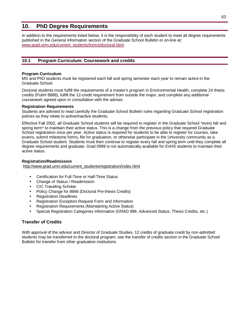# **10. PhD Degree Requirements**

In addition to the requirements listed below, it is the responsibility of each student to meet all degree requirements published in the General Information section of the Graduate School Bulletin or on-line at: [www.grad.umn.edu/current\\_students/forms/doctoral.html.](http://www.grad.umn.edu/current_students/forms/doctoral.html)

# **10.1 Program Curriculum: Coursework and credits**

### **Program Curriculum**

MS and PhD students must be registered each fall and spring semester each year to remain active in the Graduate School.

Doctoral students must fulfill the requirements of a master's program in Environmental Health, complete 24 thesis credits (PubH 8888), fulfill the 12-credit requirement from outside the major, and complete any additional coursework agreed upon in consultation with the advisor.

### **Registration Requirements**

Students are advised to read carefully the Graduate School Bulletin rules regarding Graduate School registration polices as they relate to active/inactive students.

Effective Fall 2002, all Graduate School students will be required to register in the Graduate School \*every fall and spring term\* to maintain their active status. This is a change from the previous policy that required Graduate School registration once per year. Active status is required for students to be able to register for courses, take exams, submit milestone forms, file for graduation, or otherwise participate in the University community as a Graduate School student. Students must then continue to register every fall and spring term until they complete all degree requirements and graduate. Grad 0999 is not automatically available for EnHS students to maintain their active status.

### **Registration/Readmission**

[http://www.grad.umn.edu/current\\_students/registration/index.html](http://www.grad.umn.edu/current_students/registration/index.html)

- Certification for Full-Time or Half-Time Status
- Change of Status / Readmission
- CIC Traveling Scholar
- Policy Change for 8666 (Doctoral Pre-thesis Credits)
- Registration Deadlines
- Registration Exception Request Form and Information
- Registration Requirements (Maintaining Active Status)
- Special Registration Categories Information (GRAD 999, Advanced Status, Thesis Credits, etc.)

## **Transfer of Credits**

With approval of the advisor and Director of Graduate Studies, 12 credits of graduate credit by non-admitted students may be transferred to the doctoral program; see the transfer of credits section in the Graduate School Bulletin for transfer from other graduation institutions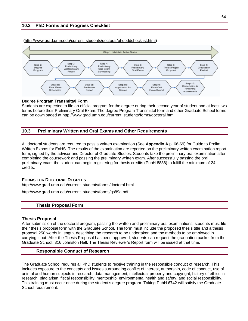## **10.2 PhD Forms and Progress Checklist**



**(**[http://www.grad.umn.edu/current\\_students/doctoral/phdeddchecklist.html](http://www.grad.umn.edu/current_students/doctoral/phdeddchecklist.html))

### **Degree Program Transmittal Form**

Students are expected to file an official program for the degree during their second year of student and at least two terms before their Preliminary Oral Exam. The degree Program Transmittal form and other Graduate School forms can be downloaded at [http://www.grad.umn.edu/current\\_students/forms/doctoral.html](http://www.grad.umn.edu/current_students/forms/doctoral.html).

### **10.3 Preliminary Written and Oral Exams and Other Requirements**

All doctoral students are required to pass a written examination (See **Appendix A** p. 66-69) for Guide to Prelim Written Exams for EnHS. The results of the examination are reported on the preliminary written examination report form, signed by the advisor and Director of Graduate Studies. Students take the preliminary oral examination after completing the coursework and passing the preliminary written exam. After successfully passing the oral preliminary exam the student can begin registering for thesis credits (PubH 8888) to fulfill the minimum of 24 credits.

### **FORMS FOR DOCTORAL DEGREES**

[http://www.grad.umn.edu/current\\_students/forms/doctoral.html](http://www.grad.umn.edu/current_students/forms/doctoral.html)

[http://www.grad.umn.edu/current\\_students/forms/gs89a.pdf](http://www.grad.umn.edu/current_students/forms/gs89a.pdf)

## **Thesis Proposal Form**

### **Thesis Proposal**

After submission of the doctoral program, passing the written and preliminary oral examinations, students must file their thesis proposal form with the Graduate School. The form must include the proposed thesis title and a thesis proposal 250 words in length, describing the research to be undertaken and the methods to be employed in carrying it out. After the Thesis Proposal has been approved, students can request the graduation packet from the Graduate School, 316 Johnston Hall. The Thesis Reviewer's Report form will be issued at that time.

### **Responsible Conduct of Research**

The Graduate School requires all PhD students to receive training in the responsible conduct of research. This includes exposure to the concepts and issues surrounding conflict of interest, authorship, code of conduct, use of animal and human subjects in research, data management, intellectual property and copyright, history of ethics in research, plagiarism, fiscal responsibility, mentorship, environmental health and safety, and social responsibility. This training must occur once during the student's degree program. Taking PubH 6742 will satisfy the Graduate School requirement.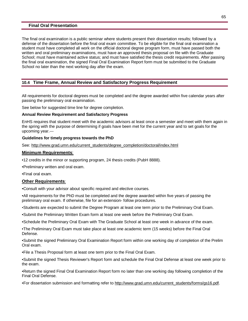### **Final Oral Presentation**

The final oral examination is a public seminar where students present their dissertation results; followed by a defense of the dissertation before the final oral exam committee. To be eligible for the final oral examination a student must have completed all work on the official doctoral degree program form, must have passed both the written and oral preliminary examinations, must have an approved thesis proposal on file with the Graduate School; must have maintained active status; and must have satisfied the thesis credit requirements. After passing the final oral examination, the signed Final Oral Examination Report form must be submitted to the Graduate School no later than the next working day after the exam.

## **10.4 Time Frame, Annual Review and Satisfactory Progress Requirement**

All requirements for doctoral degrees must be completed and the degree awarded within five calendar years after passing the preliminary oral examination.

See below for suggested time line for degree completion.

#### **Annual Review Requirement and Satisfactory Progress**

EnHS requires that student meet with the academic advisors at least once a semester and meet with them again in the spring with the purpose of determining if goals have been met for the current year and to set goals for the upcoming year.---

### **Guidelines for timely progress towards the PhD**

See: [http://www.grad.umn.edu/current\\_students/degree\\_completion/doctoral/index.html](http://www.grad.umn.edu/current_students/degree_completion/doctoral/index.html)

#### **Minimum Requirements**:

- •12 credits in the minor or supporting program, 24 thesis credits (PubH 8888).
- •Preliminary written and oral exam.
- •Final oral exam.

### **Other Requirements**:

•Consult with your advisor about specific required and elective courses.

•All requirements for the PhD must be completed and the degree awarded within five years of passing the preliminary oral exam. If otherwise, file for an extension- follow procedures.

•Students are expected to submit the Degree Program at least one term prior to the Preliminary Oral Exam.

- •Submit the Preliminary Written Exam form at least one week before the Preliminary Oral Exam.
- •Schedule the Preliminary Oral Exam with The Graduate School at least one week in advance of the exam.

•The Preliminary Oral Exam must take place at least one academic term (15 weeks) before the Final Oral Defense.

•Submit the signed Preliminary Oral Examination Report form within one working day of completion of the Prelim Oral exam.

•File a Thesis Proposal form at least one term prior to the Final Oral Exam.

•Submit the signed Thesis Reviewer's Report form and schedule the Final Oral Defense at least one week prior to the exam.

•Return the signed Final Oral Examination Report form no later than one working day following completion of the Final Oral Defense.

•For dissertation submission and formatting refer to [http://www.grad.umn.edu/current\\_students/forms/gs16.pdf](http://www.grad.umn.edu/current_students/forms/gs16.pdf).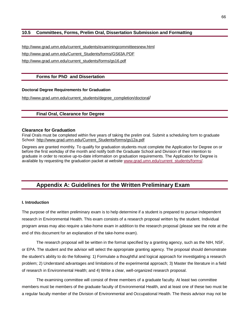# **10.5 Committees, Forms, Prelim Oral, Dissertation Submission and Formatting**

[http://www.grad.umn.edu/current\\_students/examiningcommitteesnew.html](http://www.grad.umn.edu/current_students/examiningcommitteesnew.html) [http://www.grad.umn.edu/Current\\_Students/forms/GS63A.PDF](http://www.grad.umn.edu/Current_Students/forms/GS63A.PDF) [http://www.grad.umn.edu/current\\_students/forms/gs16.pdf](http://www.grad.umn.edu/current_students/forms/gs16.pdf)

## **Forms for PhD and Dissertation**

### **Doctoral Degree Requirements for Graduation**

[http://www.grad.umn.edu/current\\_students/degree\\_completion/doctoral](http://www.grad.umn.edu/current_students/degree_completion/doctoral)/

## **Final Oral, Clearance for Degree**

#### **Clearance for Graduation**

Final Orals must be completed within five years of taking the prelim oral. Submit a scheduling form to graduate School: [http://www.grad.umn.edu/Current\\_Students/forms/gs12a.pdf](http://www.grad.umn.edu/Current_Students/forms/gs12a.pdf)

Degrees are granted monthly. To qualify for graduation students must complete the Application for Degree on or before the first workday of the month and notify both the Graduate School and Division of their intention to graduate in order to receive up-to-date information on graduation requirements. The Application for Degree is available by requesting the graduation packet at website [www.grad.umn.edu/current\\_students/forms/.](http://www.grad.umn.edu/current_students/forms/)

# **Appendix A: Guidelines for the Written Preliminary Exam**

### **I. Introduction**

The purpose of the written preliminary exam is to help determine if a student is prepared to pursue independent research in Environmental Health. This exam consists of a research proposal written by the student. Individual program areas may also require a take-home exam in addition to the research proposal (please see the note at the end of this document for an explanation of the take-home exam).

The research proposal will be written in the format specified by a granting agency, such as the NIH, NSF, or EPA. The student and the advisor will select the appropriate granting agency. The proposal should demonstrate the student's ability to do the following: 1) Formulate a thoughtful and logical approach for investigating a research problem; 2) Understand advantages and limitations of the experimental approach; 3) Master the literature in a field of research in Environmental Health; and 4) Write a clear, well-organized research proposal.

The examining committee will consist of three members of a graduate faculty. At least two committee members must be members of the graduate faculty of Environmental Health, and at least one of these two must be a regular faculty member of the Division of Environmental and Occupational Health. The thesis advisor may not be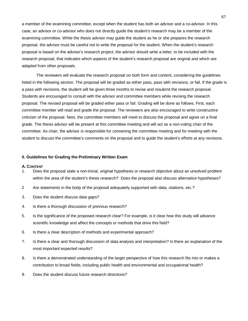a member of the examining committee, except when the student has both an advisor and a co-advisor. In this case, an advisor or co-advisor who does not directly guide the student's research may be a member of the examining committee. While the thesis advisor may guide the student as he or she prepares the research proposal, the advisor must be careful not to write the proposal for the student. When the student's research proposal is based on the advisor's research project, the advisor should write a letter, to be included with the research proposal, that indicates which aspects of the student's research proposal are original and which are adapted from other proposals.

The reviewers will evaluate the research proposal on both form and content, considering the guidelines listed in the following section. The proposal will be graded as either pass, pass with revisions, or fail. If the grade is a pass with revisions, the student will be given three months to revise and resubmit the research proposal. Students are encouraged to consult with the advisor and committee members while revising the research proposal. The revised proposal will be graded either pass or fail. Grading will be done as follows. First, each committee member will read and grade the proposal. The reviewers are also encouraged to write constructive criticism of the proposal. Next, the committee members will meet to discuss the proposal and agree on a final grade. The thesis advisor will be present at this committee meeting and will act as a non-voting chair of the committee. As chair, the advisor is responsible for convening the committee meeting and for meeting with the student to discuss the committee's comments on the proposal and to guide the student's efforts at any revisions.

### **II. Guidelines for Grading the Preliminary Written Exam**

#### **A. CONTENT**

- 1. Does the proposal state a non-trivial, original hypothesis or research objective about an unsolved problem within the area of the student's thesis research? Does the proposal also discuss alternative hypotheses?
- 2 Are statements in the body of the proposal adequately supported with data, citations, etc.?
- 3. Does the student discuss data gaps?
- 4. Is there a thorough discussion of previous research?
- 5. Is the significance of the proposed research clear? For example, is it clear how this study will advance scientific knowledge and affect the concepts or methods that drive this field?
- 6. Is there a clear description of methods and experimental approach?
- 7. Is there a clear and thorough discussion of data analysis and interpretation? Is there an explanation of the most important expected results?
- 8. Is there a demonstrated understanding of the larger perspective of how this research fits into or makes a contribution to broad fields, including public health and environmental and occupational health?
- 9. Does the student discuss future research directions?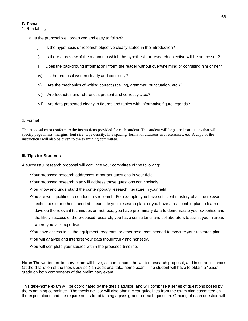#### **B. FORM**

### 1. Readability

- a. Is the proposal well organized and easy to follow?
	- i) Is the hypothesis or research objective clearly stated in the introduction?
	- ii) Is there a preview of the manner in which the hypothesis or research objective will be addressed?
	- iii) Does the background information inform the reader without overwhelming or confusing him or her?
	- iv) Is the proposal written clearly and concisely?
	- v) Are the mechanics of writing correct (spelling, grammar, punctuation, etc.)?
	- vi) Are footnotes and references present and correctly cited?
	- vii) Are data presented clearly in figures and tables with informative figure legends?

### 2. Format

The proposal must conform to the instructions provided for each student. The student will be given instructions that will specify page limits, margins, font size, type density, line spacing, format of citations and references, etc. A copy of the instructions will also be given to the examining committee.

### **III. Tips for Students**

A successful research proposal will convince your committee of the following:

- •Your proposed research addresses important questions in your field.
- •Your proposed research plan will address those questions convincingly.
- •You know and understand the contemporary research literature in your field.
- •You are well qualified to conduct this research. For example, you have sufficient mastery of all the relevant techniques or methods needed to execute your research plan, or you have a reasonable plan to learn or develop the relevant techniques or methods; you have preliminary data to demonstrate your expertise and the likely success of the proposed research; you have consultants and collaborators to assist you in areas where you lack expertise.
- •You have access to all the equipment, reagents, or other resources needed to execute your research plan.
- •You will analyze and interpret your data thoughtfully and honestly.
- •You will complete your studies within the proposed timeline.

**Note:** The written preliminary exam will have, as a minimum, the written research proposal, and in some instances (at the discretion of the thesis advisor) an additional take-home exam. The student will have to obtain a "pass" grade on both components of the preliminary exam.

This take-home exam will be coordinated by the thesis advisor, and will comprise a series of questions posed by the examining committee. The thesis advisor will also obtain clear guidelines from the examining committee on the expectations and the requirements for obtaining a pass grade for each question. Grading of each question will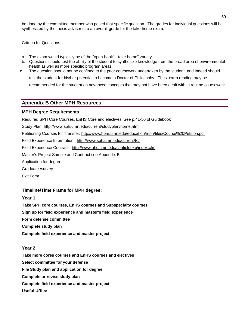be done by the committee member who posed that specific question. The grades for individual questions will be synthesized by the thesis advisor into an overall grade for the take-home exam.

Criteria for Questions:

- a. The exam would typically be of the "open-book", "take-home" variety.
- b. Questions should test the ability of the student to synthesize knowledge from the broad area of environmental health as well as more specific program areas.
- c. The question should not be confined to the prior coursework undertaken by the student, and indeed should test the student for his/her potential to become a Doctor of Philosophy. Thus, extra reading may be recommended for the student on advanced concepts that may not have been dealt with in routine coursework.

# **Appendix B Other MPH Resources**

## **MPH Degree Requirements**

Required SPH Core Courses, EnHS Core and electives See p.41-50 of Guidebook

Study Plan:<http://www.sph.umn.edu/current/studyplan/home.html>

Petitioning Courses for Transfer: <http://www.hpm.umn.edu/education/mph/files/Course%20Petition.pdf>

Field Experience Information: <http://www.sph.umn.edu/current/fe/>

Field Experience Contract : <http://www.ahc.umn.edu/sphfieldexp/index.cfm>

Master's Project Sample and Contract see Appendix B.

Application for degree

Graduate /survey

Exit Form

# **Timeline/Time Frame for MPH degree:**

## **Year 1**

**Take SPH core courses, EnHS courses and Subspecialty courses Sign up for field experience and master's field experience Form defense committee Complete study plan Complete field experience and master project** 

## **Year 2**

**Take more cores courses and EnHS courses and electives Select committee for your defense File Study plan and application for degree Complete or revise study plan Complete field experience and master project Useful URLs:**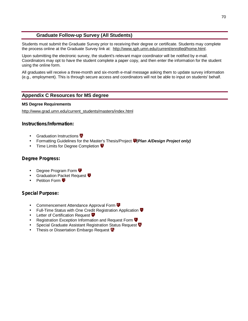# **Graduate Follow-up Survey (All Students)**

Students must submit the Graduate Survey prior to receiving their degree or certificate. Students may complete the process online at the Graduate Survey link at: [http://www.sph.umn.edu/current/enrolled/home.html.](http://www.sph.umn.edu/current/enrolled/home.html)

Upon submitting the electronic survey, the student's relevant major coordinator will be notified by e-mail. Coordinators may opt to have the student complete a paper copy, and then enter the information for the student using the online form.

All graduates will receive a three-month and six-month e-mail message asking them to update survey information (e.g., employment). This is through secure access and coordinators will not be able to input on students' behalf.

# **Appendix C Resources for MS degree**

### **MS Degree Requirements**

[http://www.grad.umn.edu/current\\_students/masters/index.html](http://www.grad.umn.edu/current_students/masters/index.html)

**Instructions/Information:**

- **Graduation Instructions**
- Formatting Guidelines for the Master's Thesis/Project *(Plan A/Design Project only)*
- Time Limits for Degree Completion  $\overline{\Psi}$

# **Degree Progress:**

- **Degree Program Form**  $\Psi$
- **Graduation Packet Request**
- Petition Form **D**

**Special Purpose:**

- **Commencement Attendance Approval Form**  $\Psi$
- Full-Time Status with One Credit Registration Application  $\overline{\Psi}$
- Letter of Certification Request  $\Psi$
- Registration Exception Information and Request Form
- Special Graduate Assistant Registration Status Request **V**
- Thesis or Dissertation Embargo Request **P**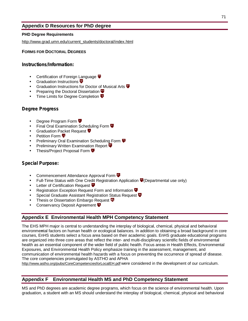# **Appendix D Resources for PhD degree**

# **PHD Degree Requirements**

[http://www.grad.umn.edu/current\\_students/doctoral/index.html](http://www.grad.umn.edu/current_students/doctoral/index.html)

# **FORMS FOR DOCTORAL DEGREES**

**Instructions/Information:**

- **Certification of Foreign Language**  $\overline{\Psi}$
- Graduation Instructions  $\Psi$
- Graduation Instructions for Doctor of Musical Arts  $\Psi$
- Preparing the Doctoral Dissertation **D**
- **Time Limits for Degree Completion**  $\P$

# **Degree Progress**

- **Degree Program Form**  $\mathbf{\Psi}$
- **Final Oral Examination Scheduling Form**  $\Psi$
- Graduation Packet Request  $\Psi$
- Petition Form **曱**
- Preliminary Oral Examination Scheduling Form **P**
- **Preliminary Written Examination Report**  $\Psi$
- Thesis/Project Proposal Form

# **Special Purpose:**

- Commencement Attendance Approval Form **V**
- Full-Time Status with One Credit Registration Application  $\Psi$  (Departmental use only)
- Letter of Certification Request  $\overline{\mathbf{\Psi}}$
- Registration Exception Request Form and Information  $\Psi$
- Special Graduate Assistant Registration Status Request  $\Psi$
- **Thesis or Dissertation Embargo Request**  $\overline{\mathbf{\Psi}}$
- Conservancy Deposit Agreement  $\Psi$

# **Appendix E Environmental Health MPH Competency Statement**

The EHS MPH major is central to understanding the interplay of biological, chemical, physical and behavioral environme**n**tal factors on human health or ecological balances. In addition to obtaining a broad background in core courses, EnHS students select a focus area based on their academic goals. EnHS graduate educational programs are organized into three core areas that reflect the inter- and multi-disciplinary scientific fields of environmental health as an essential component of the wider field of public health. Focus areas in Health Effects, Environmental Exposures, and Environmental Health Policy emphasize training in the assessment, management, and communication of environmental health hazards with a focus on preventing the occurrence of spread of disease. The core competencies promulgated by ASTHO and APHA

<http://www.astho.org/pubs/CoreCompetenciesforLocalEH.pdf> were considered in the development of our curriculum.

# **Appendix F Environmental Health MS and PhD Competency Statement**

MS and PhD degrees are academic degree programs, which focus on the science of environmental health. Upon graduation, a student with an MS should understand the interplay of biological, chemical, physical and behavioral